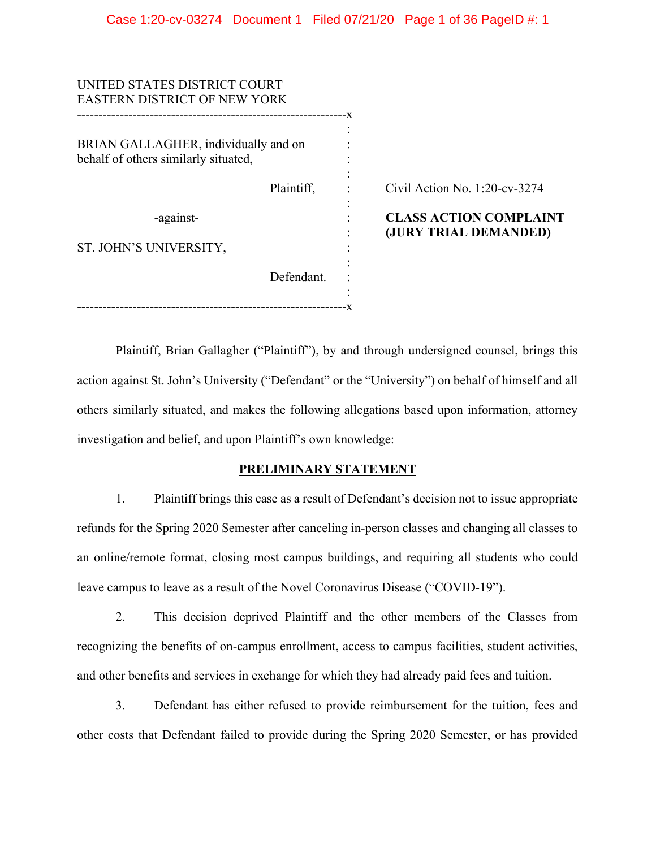| UNITED STATES DISTRICT COURT<br><b>EASTERN DISTRICT OF NEW YORK</b> |                                                        |
|---------------------------------------------------------------------|--------------------------------------------------------|
| BRIAN GALLAGHER, individually and on                                |                                                        |
| Plaintiff,                                                          | Civil Action No. $1:20$ -cv-3274                       |
|                                                                     | <b>CLASS ACTION COMPLAINT</b><br>(JURY TRIAL DEMANDED) |
|                                                                     |                                                        |
| Defendant.                                                          |                                                        |
|                                                                     |                                                        |

Plaintiff, Brian Gallagher ("Plaintiff"), by and through undersigned counsel, brings this action against St. John's University ("Defendant" or the "University") on behalf of himself and all others similarly situated, and makes the following allegations based upon information, attorney investigation and belief, and upon Plaintiff's own knowledge:

## **PRELIMINARY STATEMENT**

1. Plaintiff brings this case as a result of Defendant's decision not to issue appropriate refunds for the Spring 2020 Semester after canceling in-person classes and changing all classes to an online/remote format, closing most campus buildings, and requiring all students who could leave campus to leave as a result of the Novel Coronavirus Disease ("COVID-19").

2. This decision deprived Plaintiff and the other members of the Classes from recognizing the benefits of on-campus enrollment, access to campus facilities, student activities, and other benefits and services in exchange for which they had already paid fees and tuition.

3. Defendant has either refused to provide reimbursement for the tuition, fees and other costs that Defendant failed to provide during the Spring 2020 Semester, or has provided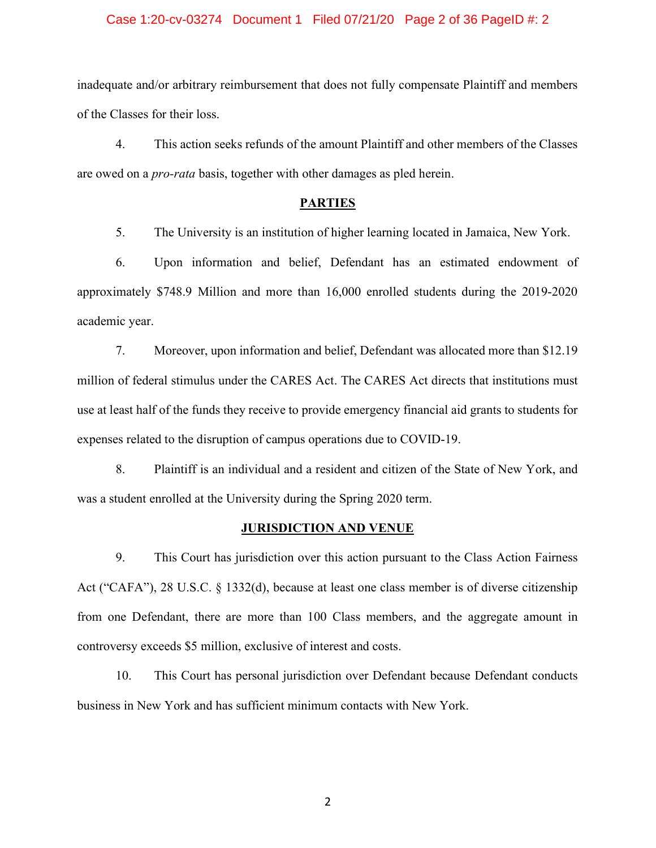### Case 1:20-cv-03274 Document 1 Filed 07/21/20 Page 2 of 36 PageID #: 2

inadequate and/or arbitrary reimbursement that does not fully compensate Plaintiff and members of the Classes for their loss.

4. This action seeks refunds of the amount Plaintiff and other members of the Classes are owed on a *pro-rata* basis, together with other damages as pled herein.

## **PARTIES**

5. The University is an institution of higher learning located in Jamaica, New York.

6. Upon information and belief, Defendant has an estimated endowment of approximately \$748.9 Million and more than 16,000 enrolled students during the 2019-2020 academic year.

7. Moreover, upon information and belief, Defendant was allocated more than \$12.19 million of federal stimulus under the CARES Act. The CARES Act directs that institutions must use at least half of the funds they receive to provide emergency financial aid grants to students for expenses related to the disruption of campus operations due to COVID-19.

8. Plaintiff is an individual and a resident and citizen of the State of New York, and was a student enrolled at the University during the Spring 2020 term.

#### **JURISDICTION AND VENUE**

9. This Court has jurisdiction over this action pursuant to the Class Action Fairness Act ("CAFA"), 28 U.S.C. § 1332(d), because at least one class member is of diverse citizenship from one Defendant, there are more than 100 Class members, and the aggregate amount in controversy exceeds \$5 million, exclusive of interest and costs.

10. This Court has personal jurisdiction over Defendant because Defendant conducts business in New York and has sufficient minimum contacts with New York.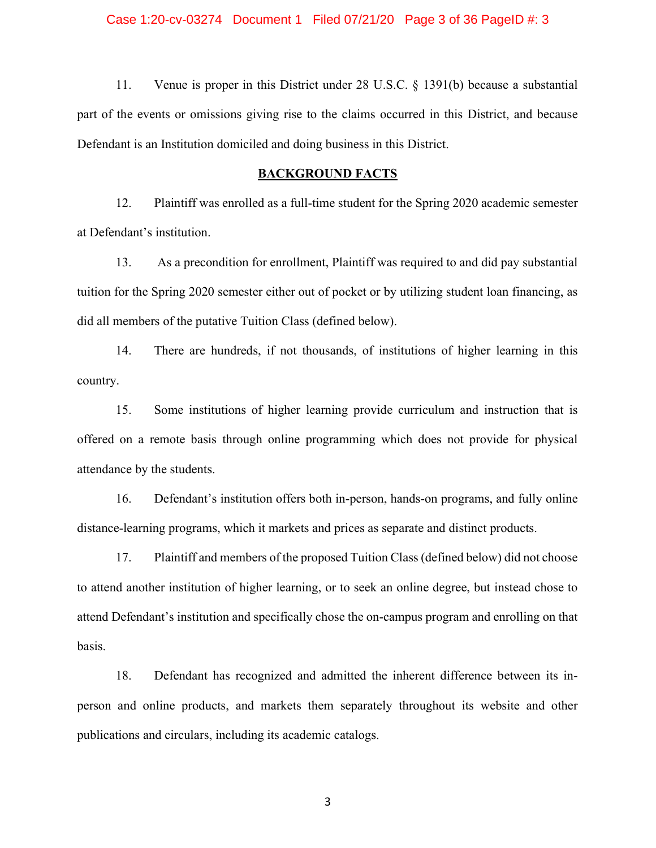### Case 1:20-cv-03274 Document 1 Filed 07/21/20 Page 3 of 36 PageID #: 3

11. Venue is proper in this District under 28 U.S.C. § 1391(b) because a substantial part of the events or omissions giving rise to the claims occurred in this District, and because Defendant is an Institution domiciled and doing business in this District.

### **BACKGROUND FACTS**

12. Plaintiff was enrolled as a full-time student for the Spring 2020 academic semester at Defendant's institution.

13. As a precondition for enrollment, Plaintiff was required to and did pay substantial tuition for the Spring 2020 semester either out of pocket or by utilizing student loan financing, as did all members of the putative Tuition Class (defined below).

14. There are hundreds, if not thousands, of institutions of higher learning in this country.

15. Some institutions of higher learning provide curriculum and instruction that is offered on a remote basis through online programming which does not provide for physical attendance by the students.

16. Defendant's institution offers both in-person, hands-on programs, and fully online distance-learning programs, which it markets and prices as separate and distinct products.

17. Plaintiff and members of the proposed Tuition Class (defined below) did not choose to attend another institution of higher learning, or to seek an online degree, but instead chose to attend Defendant's institution and specifically chose the on-campus program and enrolling on that basis.

18. Defendant has recognized and admitted the inherent difference between its inperson and online products, and markets them separately throughout its website and other publications and circulars, including its academic catalogs.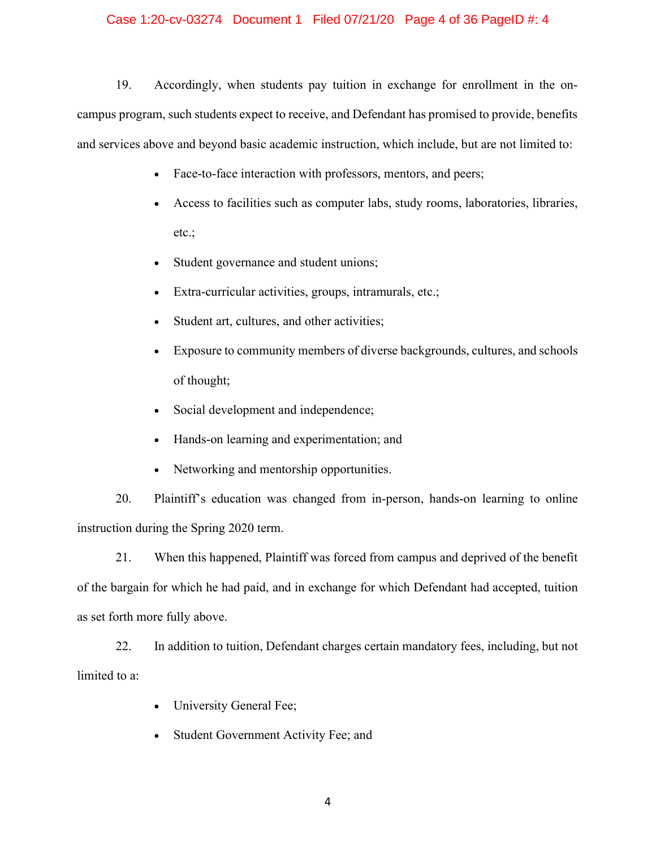### Case 1:20-cv-03274 Document 1 Filed 07/21/20 Page 4 of 36 PageID #: 4

19. Accordingly, when students pay tuition in exchange for enrollment in the oncampus program, such students expect to receive, and Defendant has promised to provide, benefits and services above and beyond basic academic instruction, which include, but are not limited to:

- Face-to-face interaction with professors, mentors, and peers;
- Access to facilities such as computer labs, study rooms, laboratories, libraries, etc.;
- Student governance and student unions;
- Extra-curricular activities, groups, intramurals, etc.;
- Student art, cultures, and other activities;
- Exposure to community members of diverse backgrounds, cultures, and schools of thought;
- Social development and independence;
- Hands-on learning and experimentation; and
- Networking and mentorship opportunities.

20. Plaintiff's education was changed from in-person, hands-on learning to online instruction during the Spring 2020 term.

21. When this happened, Plaintiff was forced from campus and deprived of the benefit of the bargain for which he had paid, and in exchange for which Defendant had accepted, tuition as set forth more fully above.

22. In addition to tuition, Defendant charges certain mandatory fees, including, but not limited to a:

- University General Fee;
- Student Government Activity Fee; and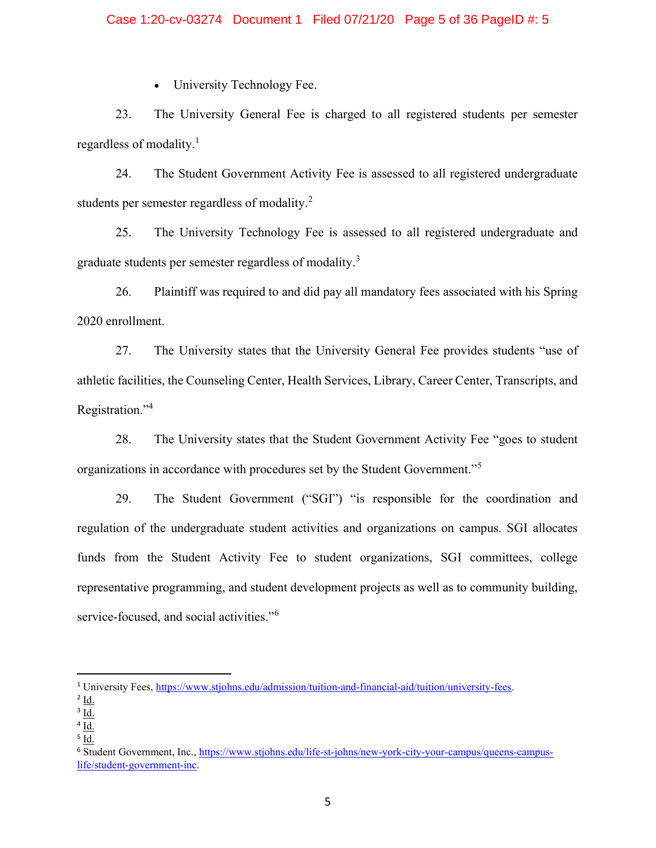### Case 1:20-cv-03274 Document 1 Filed 07/21/20 Page 5 of 36 PageID #: 5

• University Technology Fee.

23. The University General Fee is charged to all registered students per semester regardless of modality.<sup>1</sup>

24. The Student Government Activity Fee is assessed to all registered undergraduate students per semester regardless of modality.<sup>2</sup>

25. The University Technology Fee is assessed to all registered undergraduate and graduate students per semester regardless of modality.<sup>3</sup>

26. Plaintiff was required to and did pay all mandatory fees associated with his Spring 2020 enrollment.

27. The University states that the University General Fee provides students "use of athletic facilities, the Counseling Center, Health Services, Library, Career Center, Transcripts, and Registration."<sup>4</sup>

28. The University states that the Student Government Activity Fee "goes to student organizations in accordance with procedures set by the Student Government."<sup>5</sup>

29. The Student Government ("SGI") "is responsible for the coordination and regulation of the undergraduate student activities and organizations on campus. SGI allocates funds from the Student Activity Fee to student organizations, SGI committees, college representative programming, and student development projects as well as to community building, service-focused, and social activities."<sup>6</sup>

<sup>1</sup> University Fees, https://www.stjohns.edu/admission/tuition-and-financial-aid/tuition/university-fees.

 $2$  Id.

 $3$  Id.

 $4$  Id.

 $^5$  Id.

<sup>6</sup> Student Government, Inc., https://www.stjohns.edu/life-st-johns/new-york-city-your-campus/queens-campuslife/student-government-inc.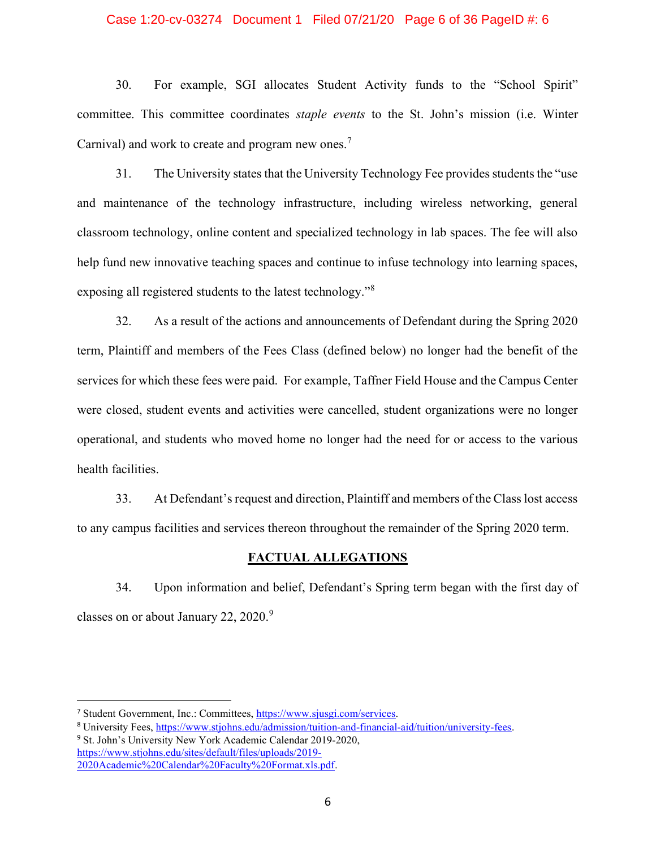### Case 1:20-cv-03274 Document 1 Filed 07/21/20 Page 6 of 36 PageID #: 6

30. For example, SGI allocates Student Activity funds to the "School Spirit" committee. This committee coordinates *staple events* to the St. John's mission (i.e. Winter Carnival) and work to create and program new ones.<sup>7</sup>

31. The University states that the University Technology Fee provides students the "use and maintenance of the technology infrastructure, including wireless networking, general classroom technology, online content and specialized technology in lab spaces. The fee will also help fund new innovative teaching spaces and continue to infuse technology into learning spaces, exposing all registered students to the latest technology."<sup>8</sup>

32. As a result of the actions and announcements of Defendant during the Spring 2020 term, Plaintiff and members of the Fees Class (defined below) no longer had the benefit of the services for which these fees were paid. For example, Taffner Field House and the Campus Center were closed, student events and activities were cancelled, student organizations were no longer operational, and students who moved home no longer had the need for or access to the various health facilities.

33. At Defendant's request and direction, Plaintiff and members of the Class lost access to any campus facilities and services thereon throughout the remainder of the Spring 2020 term.

### **FACTUAL ALLEGATIONS**

34. Upon information and belief, Defendant's Spring term began with the first day of classes on or about January 22, 2020.<sup>9</sup>

https://www.stjohns.edu/sites/default/files/uploads/2019- 2020Academic%20Calendar%20Faculty%20Format.xls.pdf.

<sup>7</sup> Student Government, Inc.: Committees, https://www.sjusgi.com/services.

<sup>8</sup> University Fees, https://www.stjohns.edu/admission/tuition-and-financial-aid/tuition/university-fees. <sup>9</sup> St. John's University New York Academic Calendar 2019-2020,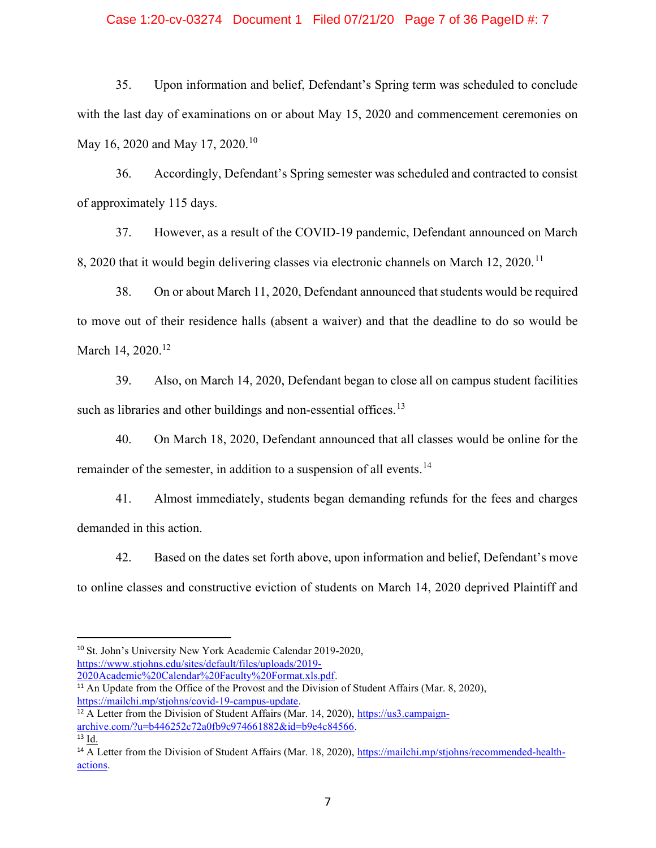### Case 1:20-cv-03274 Document 1 Filed 07/21/20 Page 7 of 36 PageID #: 7

35. Upon information and belief, Defendant's Spring term was scheduled to conclude with the last day of examinations on or about May 15, 2020 and commencement ceremonies on May 16, 2020 and May 17, 2020.<sup>10</sup>

36. Accordingly, Defendant's Spring semester was scheduled and contracted to consist of approximately 115 days.

37. However, as a result of the COVID-19 pandemic, Defendant announced on March 8, 2020 that it would begin delivering classes via electronic channels on March 12, 2020.<sup>11</sup>

38. On or about March 11, 2020, Defendant announced that students would be required to move out of their residence halls (absent a waiver) and that the deadline to do so would be March 14, 2020.<sup>12</sup>

39. Also, on March 14, 2020, Defendant began to close all on campus student facilities such as libraries and other buildings and non-essential offices.<sup>13</sup>

40. On March 18, 2020, Defendant announced that all classes would be online for the remainder of the semester, in addition to a suspension of all events.<sup>14</sup>

41. Almost immediately, students began demanding refunds for the fees and charges demanded in this action.

42. Based on the dates set forth above, upon information and belief, Defendant's move to online classes and constructive eviction of students on March 14, 2020 deprived Plaintiff and

<sup>10</sup> St. John's University New York Academic Calendar 2019-2020, https://www.stjohns.edu/sites/default/files/uploads/2019- 2020Academic%20Calendar%20Faculty%20Format.xls.pdf.

<sup>&</sup>lt;sup>11</sup> An Update from the Office of the Provost and the Division of Student Affairs (Mar. 8, 2020), https://mailchi.mp/stjohns/covid-19-campus-update.

 $12$  A Letter from the Division of Student Affairs (Mar. 14, 2020), https://us3.campaignarchive.com/?u=b446252c72a0fb9c974661882&id=b9e4c84566.  $^{13}$   $\underline{Id.}$ 

<sup>&</sup>lt;sup>14</sup> A Letter from the Division of Student Affairs (Mar. 18, 2020), https://mailchi.mp/stjohns/recommended-healthactions.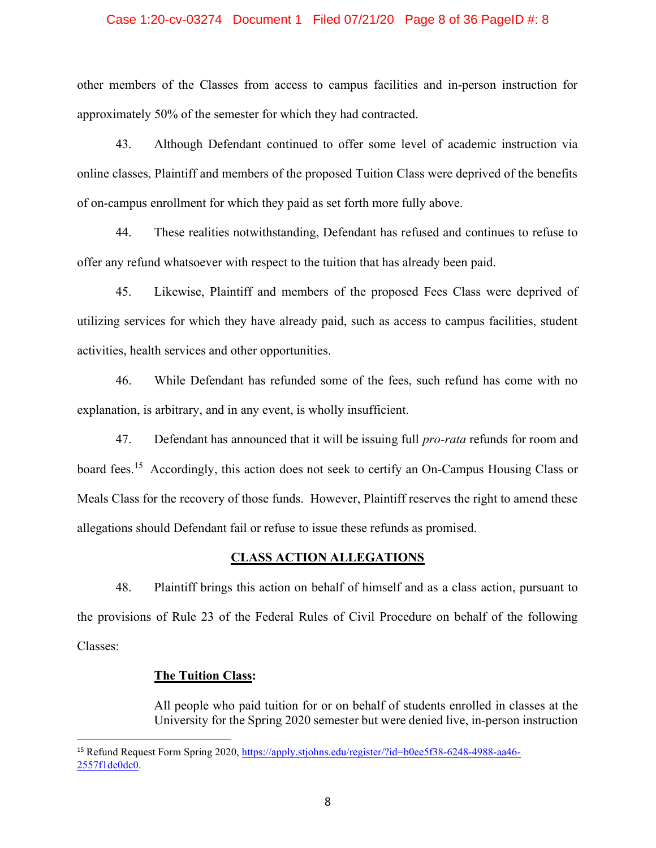### Case 1:20-cv-03274 Document 1 Filed 07/21/20 Page 8 of 36 PageID #: 8

other members of the Classes from access to campus facilities and in-person instruction for approximately 50% of the semester for which they had contracted.

43. Although Defendant continued to offer some level of academic instruction via online classes, Plaintiff and members of the proposed Tuition Class were deprived of the benefits of on-campus enrollment for which they paid as set forth more fully above.

44. These realities notwithstanding, Defendant has refused and continues to refuse to offer any refund whatsoever with respect to the tuition that has already been paid.

45. Likewise, Plaintiff and members of the proposed Fees Class were deprived of utilizing services for which they have already paid, such as access to campus facilities, student activities, health services and other opportunities.

46. While Defendant has refunded some of the fees, such refund has come with no explanation, is arbitrary, and in any event, is wholly insufficient.

47. Defendant has announced that it will be issuing full *pro-rata* refunds for room and board fees.<sup>15</sup> Accordingly, this action does not seek to certify an On-Campus Housing Class or Meals Class for the recovery of those funds. However, Plaintiff reserves the right to amend these allegations should Defendant fail or refuse to issue these refunds as promised.

### **CLASS ACTION ALLEGATIONS**

48. Plaintiff brings this action on behalf of himself and as a class action, pursuant to the provisions of Rule 23 of the Federal Rules of Civil Procedure on behalf of the following Classes:

### **The Tuition Class:**

All people who paid tuition for or on behalf of students enrolled in classes at the University for the Spring 2020 semester but were denied live, in-person instruction

<sup>15</sup> Refund Request Form Spring 2020, https://apply.stjohns.edu/register/?id=b0ee5f38-6248-4988-aa46- 2557f1dc0dc0.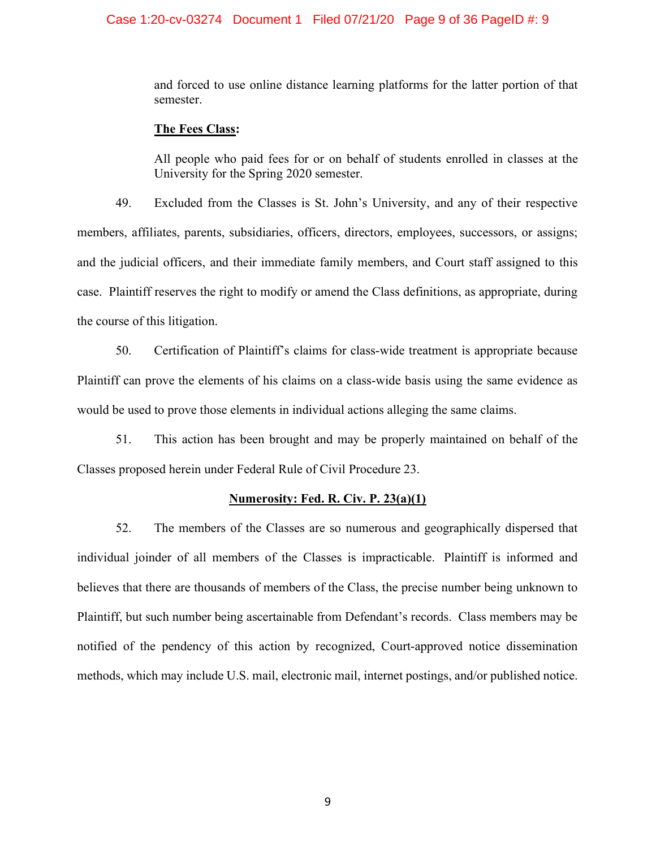### Case 1:20-cv-03274 Document 1 Filed 07/21/20 Page 9 of 36 PageID #: 9

and forced to use online distance learning platforms for the latter portion of that semester.

### **The Fees Class:**

All people who paid fees for or on behalf of students enrolled in classes at the University for the Spring 2020 semester.

49. Excluded from the Classes is St. John's University, and any of their respective members, affiliates, parents, subsidiaries, officers, directors, employees, successors, or assigns; and the judicial officers, and their immediate family members, and Court staff assigned to this case. Plaintiff reserves the right to modify or amend the Class definitions, as appropriate, during the course of this litigation.

50. Certification of Plaintiff's claims for class-wide treatment is appropriate because Plaintiff can prove the elements of his claims on a class-wide basis using the same evidence as would be used to prove those elements in individual actions alleging the same claims.

51. This action has been brought and may be properly maintained on behalf of the Classes proposed herein under Federal Rule of Civil Procedure 23.

### **Numerosity: Fed. R. Civ. P. 23(a)(1)**

52. The members of the Classes are so numerous and geographically dispersed that individual joinder of all members of the Classes is impracticable. Plaintiff is informed and believes that there are thousands of members of the Class, the precise number being unknown to Plaintiff, but such number being ascertainable from Defendant's records. Class members may be notified of the pendency of this action by recognized, Court-approved notice dissemination methods, which may include U.S. mail, electronic mail, internet postings, and/or published notice.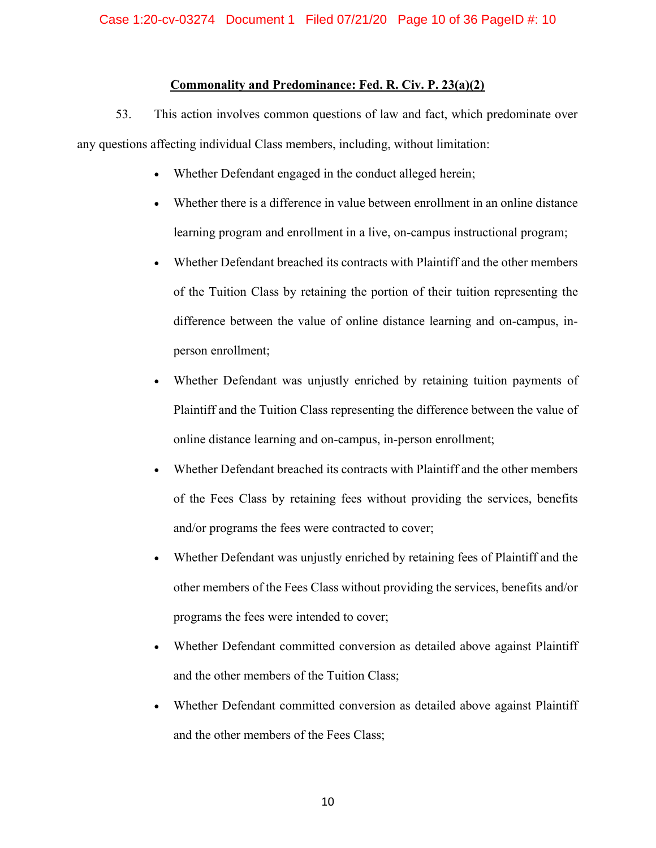## **Commonality and Predominance: Fed. R. Civ. P. 23(a)(2)**

53. This action involves common questions of law and fact, which predominate over any questions affecting individual Class members, including, without limitation:

- Whether Defendant engaged in the conduct alleged herein;
- x Whether there is a difference in value between enrollment in an online distance learning program and enrollment in a live, on-campus instructional program;
- x Whether Defendant breached its contracts with Plaintiff and the other members of the Tuition Class by retaining the portion of their tuition representing the difference between the value of online distance learning and on-campus, inperson enrollment;
- Whether Defendant was unjustly enriched by retaining tuition payments of Plaintiff and the Tuition Class representing the difference between the value of online distance learning and on-campus, in-person enrollment;
- Whether Defendant breached its contracts with Plaintiff and the other members of the Fees Class by retaining fees without providing the services, benefits and/or programs the fees were contracted to cover;
- Whether Defendant was unjustly enriched by retaining fees of Plaintiff and the other members of the Fees Class without providing the services, benefits and/or programs the fees were intended to cover;
- Whether Defendant committed conversion as detailed above against Plaintiff and the other members of the Tuition Class;
- x Whether Defendant committed conversion as detailed above against Plaintiff and the other members of the Fees Class;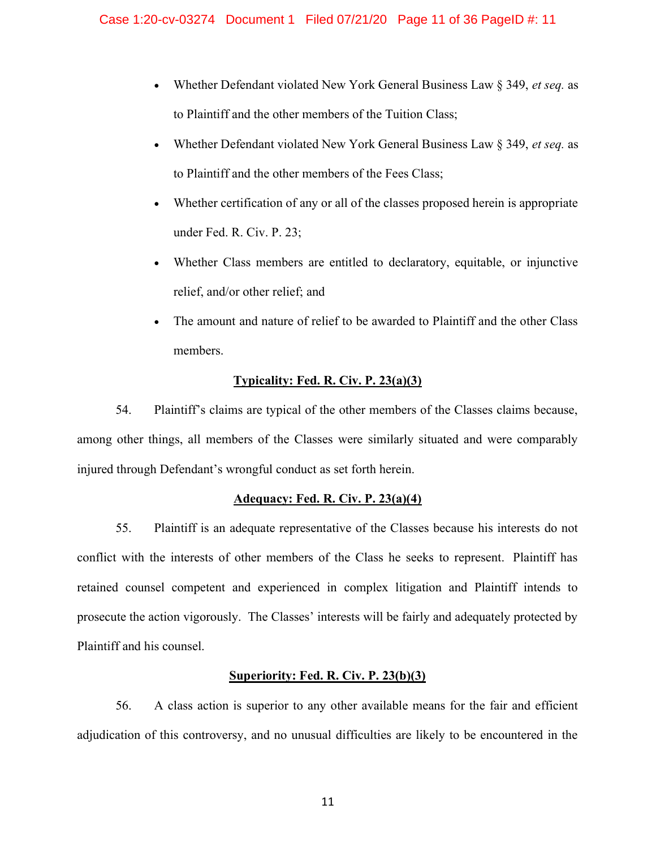- x Whether Defendant violated New York General Business Law § 349, *et seq.* as to Plaintiff and the other members of the Tuition Class;
- x Whether Defendant violated New York General Business Law § 349, *et seq.* as to Plaintiff and the other members of the Fees Class;
- x Whether certification of any or all of the classes proposed herein is appropriate under Fed. R. Civ. P. 23;
- x Whether Class members are entitled to declaratory, equitable, or injunctive relief, and/or other relief; and
- The amount and nature of relief to be awarded to Plaintiff and the other Class members.

# **Typicality: Fed. R. Civ. P. 23(a)(3)**

54. Plaintiff's claims are typical of the other members of the Classes claims because, among other things, all members of the Classes were similarly situated and were comparably injured through Defendant's wrongful conduct as set forth herein.

# **Adequacy: Fed. R. Civ. P. 23(a)(4)**

55. Plaintiff is an adequate representative of the Classes because his interests do not conflict with the interests of other members of the Class he seeks to represent. Plaintiff has retained counsel competent and experienced in complex litigation and Plaintiff intends to prosecute the action vigorously. The Classes' interests will be fairly and adequately protected by Plaintiff and his counsel.

# **Superiority: Fed. R. Civ. P. 23(b)(3)**

56. A class action is superior to any other available means for the fair and efficient adjudication of this controversy, and no unusual difficulties are likely to be encountered in the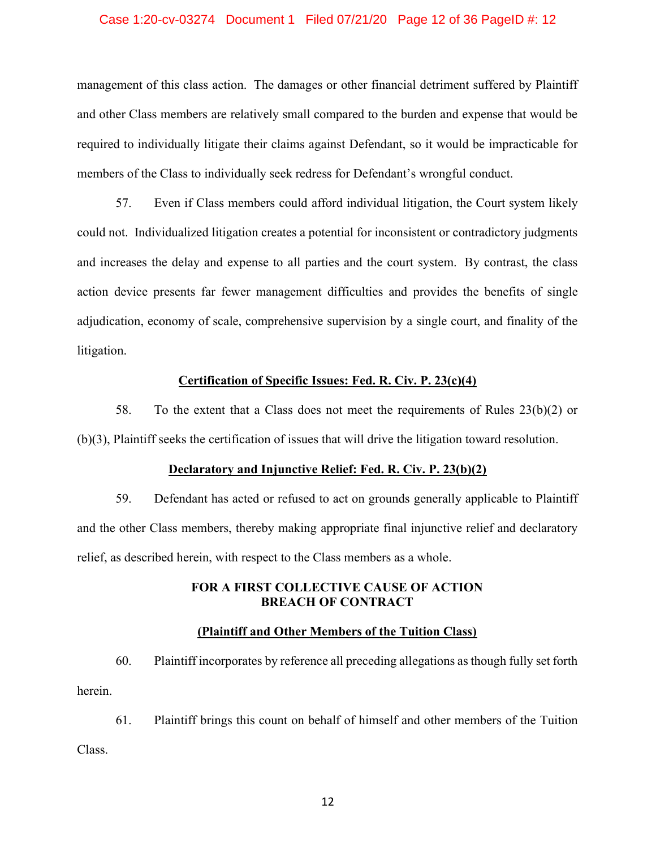### Case 1:20-cv-03274 Document 1 Filed 07/21/20 Page 12 of 36 PageID #: 12

management of this class action. The damages or other financial detriment suffered by Plaintiff and other Class members are relatively small compared to the burden and expense that would be required to individually litigate their claims against Defendant, so it would be impracticable for members of the Class to individually seek redress for Defendant's wrongful conduct.

57. Even if Class members could afford individual litigation, the Court system likely could not. Individualized litigation creates a potential for inconsistent or contradictory judgments and increases the delay and expense to all parties and the court system. By contrast, the class action device presents far fewer management difficulties and provides the benefits of single adjudication, economy of scale, comprehensive supervision by a single court, and finality of the litigation.

### **Certification of Specific Issues: Fed. R. Civ. P. 23(c)(4)**

58. To the extent that a Class does not meet the requirements of Rules  $23(b)(2)$  or (b)(3), Plaintiff seeks the certification of issues that will drive the litigation toward resolution.

#### **Declaratory and Injunctive Relief: Fed. R. Civ. P. 23(b)(2)**

59. Defendant has acted or refused to act on grounds generally applicable to Plaintiff and the other Class members, thereby making appropriate final injunctive relief and declaratory relief, as described herein, with respect to the Class members as a whole.

## **FOR A FIRST COLLECTIVE CAUSE OF ACTION BREACH OF CONTRACT**

## **(Plaintiff and Other Members of the Tuition Class)**

60. Plaintiff incorporates by reference all preceding allegations as though fully set forth herein.

61. Plaintiff brings this count on behalf of himself and other members of the Tuition Class.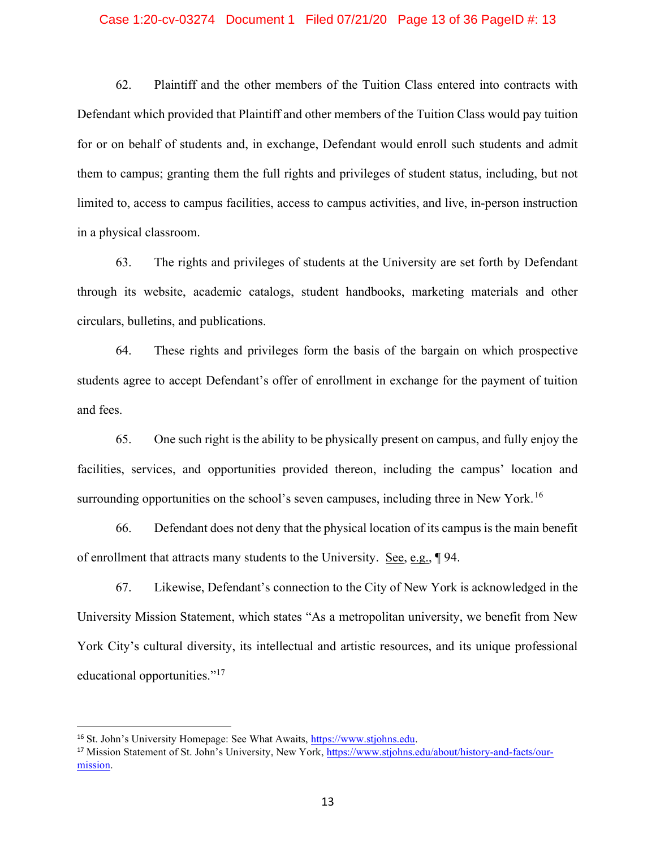### Case 1:20-cv-03274 Document 1 Filed 07/21/20 Page 13 of 36 PageID #: 13

62. Plaintiff and the other members of the Tuition Class entered into contracts with Defendant which provided that Plaintiff and other members of the Tuition Class would pay tuition for or on behalf of students and, in exchange, Defendant would enroll such students and admit them to campus; granting them the full rights and privileges of student status, including, but not limited to, access to campus facilities, access to campus activities, and live, in-person instruction in a physical classroom.

63. The rights and privileges of students at the University are set forth by Defendant through its website, academic catalogs, student handbooks, marketing materials and other circulars, bulletins, and publications.

64. These rights and privileges form the basis of the bargain on which prospective students agree to accept Defendant's offer of enrollment in exchange for the payment of tuition and fees.

65. One such right is the ability to be physically present on campus, and fully enjoy the facilities, services, and opportunities provided thereon, including the campus' location and surrounding opportunities on the school's seven campuses, including three in New York.<sup>16</sup>

66. Defendant does not deny that the physical location of its campus is the main benefit of enrollment that attracts many students to the University. See, e.g., ¶ 94.

67. Likewise, Defendant's connection to the City of New York is acknowledged in the University Mission Statement, which states "As a metropolitan university, we benefit from New York City's cultural diversity, its intellectual and artistic resources, and its unique professional educational opportunities."<sup>17</sup>

<sup>16</sup> St. John's University Homepage: See What Awaits, https://www.stjohns.edu.

<sup>17</sup> Mission Statement of St. John's University, New York, https://www.stjohns.edu/about/history-and-facts/ourmission.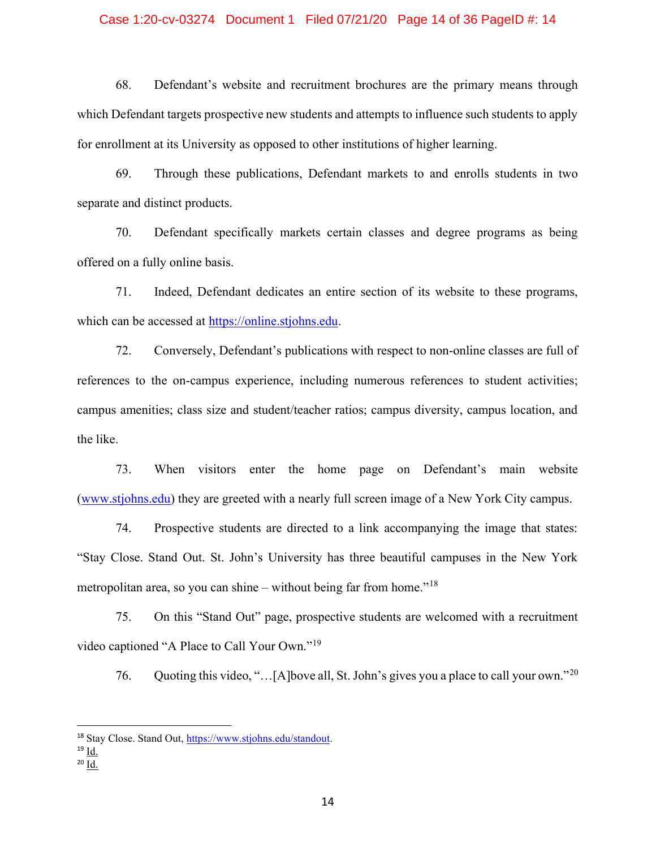### Case 1:20-cv-03274 Document 1 Filed 07/21/20 Page 14 of 36 PageID #: 14

68. Defendant's website and recruitment brochures are the primary means through which Defendant targets prospective new students and attempts to influence such students to apply for enrollment at its University as opposed to other institutions of higher learning.

69. Through these publications, Defendant markets to and enrolls students in two separate and distinct products.

70. Defendant specifically markets certain classes and degree programs as being offered on a fully online basis.

71. Indeed, Defendant dedicates an entire section of its website to these programs, which can be accessed at https://online.stjohns.edu.

72. Conversely, Defendant's publications with respect to non-online classes are full of references to the on-campus experience, including numerous references to student activities; campus amenities; class size and student/teacher ratios; campus diversity, campus location, and the like.

73. When visitors enter the home page on Defendant's main website (www.stjohns.edu) they are greeted with a nearly full screen image of a New York City campus.

74. Prospective students are directed to a link accompanying the image that states: "Stay Close. Stand Out. St. John's University has three beautiful campuses in the New York metropolitan area, so you can shine – without being far from home."<sup>18</sup>

75. On this "Stand Out" page, prospective students are welcomed with a recruitment video captioned "A Place to Call Your Own."<sup>19</sup>

76. Quoting this video, "... [A]bove all, St. John's gives you a place to call your own."<sup>20</sup>

<sup>18</sup> Stay Close. Stand Out, https://www.stjohns.edu/standout.

<sup>19</sup> Id.

<sup>20</sup> Id.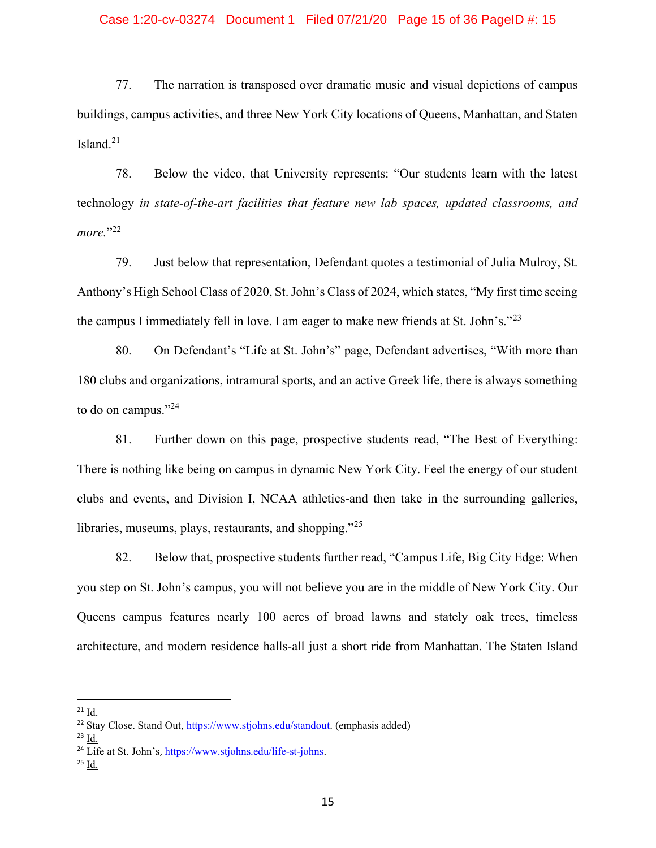### Case 1:20-cv-03274 Document 1 Filed 07/21/20 Page 15 of 36 PageID #: 15

77. The narration is transposed over dramatic music and visual depictions of campus buildings, campus activities, and three New York City locations of Queens, Manhattan, and Staten Island. $21$ 

78. Below the video, that University represents: "Our students learn with the latest technology *in state-of-the-art facilities that feature new lab spaces, updated classrooms, and*  more."<sup>22</sup>

79. Just below that representation, Defendant quotes a testimonial of Julia Mulroy, St. Anthony's High School Class of 2020, St. John's Class of 2024, which states, "My first time seeing the campus I immediately fell in love. I am eager to make new friends at St. John's."<sup>23</sup>

80. On Defendant's "Life at St. John's" page, Defendant advertises, "With more than 180 clubs and organizations, intramural sports, and an active Greek life, there is always something to do on campus."<sup>24</sup>

81. Further down on this page, prospective students read, "The Best of Everything: There is nothing like being on campus in dynamic New York City. Feel the energy of our student clubs and events, and Division I, NCAA athletics-and then take in the surrounding galleries, libraries, museums, plays, restaurants, and shopping."<sup>25</sup>

82. Below that, prospective students further read, "Campus Life, Big City Edge: When you step on St. John's campus, you will not believe you are in the middle of New York City. Our Queens campus features nearly 100 acres of broad lawns and stately oak trees, timeless architecture, and modern residence halls-all just a short ride from Manhattan. The Staten Island

 $^{21}$  Id.

<sup>&</sup>lt;sup>22</sup> Stay Close. Stand Out, https://www.stjohns.edu/standout. (emphasis added)

<sup>23</sup> Id. <sup>24</sup> Life at St. John's, https://www.stjohns.edu/life-st-johns.

<sup>25</sup> Id.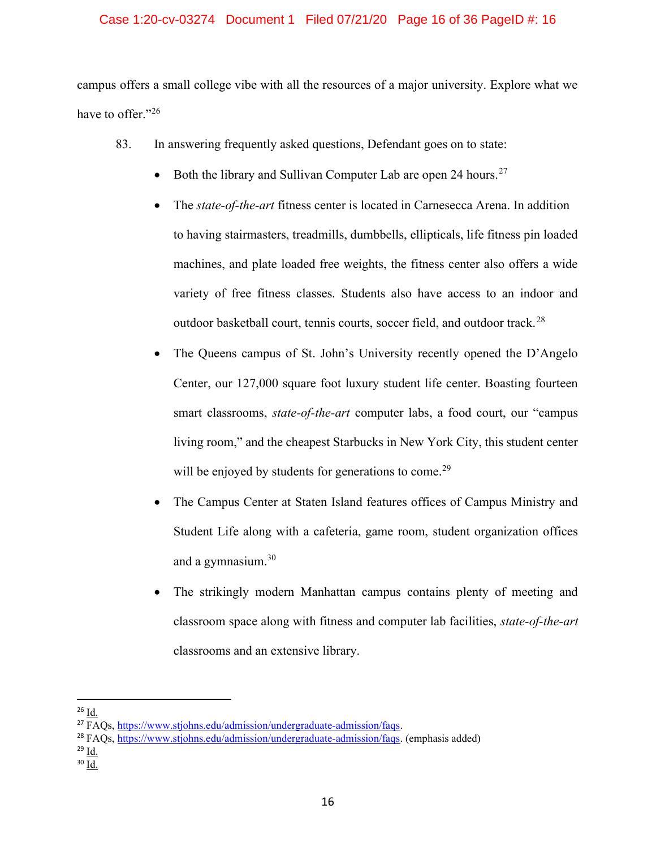## Case 1:20-cv-03274 Document 1 Filed 07/21/20 Page 16 of 36 PageID #: 16

campus offers a small college vibe with all the resources of a major university. Explore what we have to offer."<sup>26</sup>

- 83. In answering frequently asked questions, Defendant goes on to state:
	- Both the library and Sullivan Computer Lab are open 24 hours.<sup>27</sup>
	- x The *state-of-the-art* fitness center is located in Carnesecca Arena. In addition to having stairmasters, treadmills, dumbbells, ellipticals, life fitness pin loaded machines, and plate loaded free weights, the fitness center also offers a wide variety of free fitness classes. Students also have access to an indoor and outdoor basketball court, tennis courts, soccer field, and outdoor track.<sup>28</sup>
	- The Queens campus of St. John's University recently opened the D'Angelo Center, our 127,000 square foot luxury student life center. Boasting fourteen smart classrooms, *state-of-the-art* computer labs, a food court, our "campus living room," and the cheapest Starbucks in New York City, this student center will be enjoyed by students for generations to come.<sup>29</sup>
	- The Campus Center at Staten Island features offices of Campus Ministry and Student Life along with a cafeteria, game room, student organization offices and a gymnasium.<sup>30</sup>
	- The strikingly modern Manhattan campus contains plenty of meeting and classroom space along with fitness and computer lab facilities, *state-of-the-art*  classrooms and an extensive library.

<sup>29</sup> Id.

 $26$  Id.

<sup>27</sup> FAQs, https://www.stjohns.edu/admission/undergraduate-admission/faqs.

<sup>28</sup> FAQs, https://www.stjohns.edu/admission/undergraduate-admission/faqs. (emphasis added)

<sup>30</sup> Id.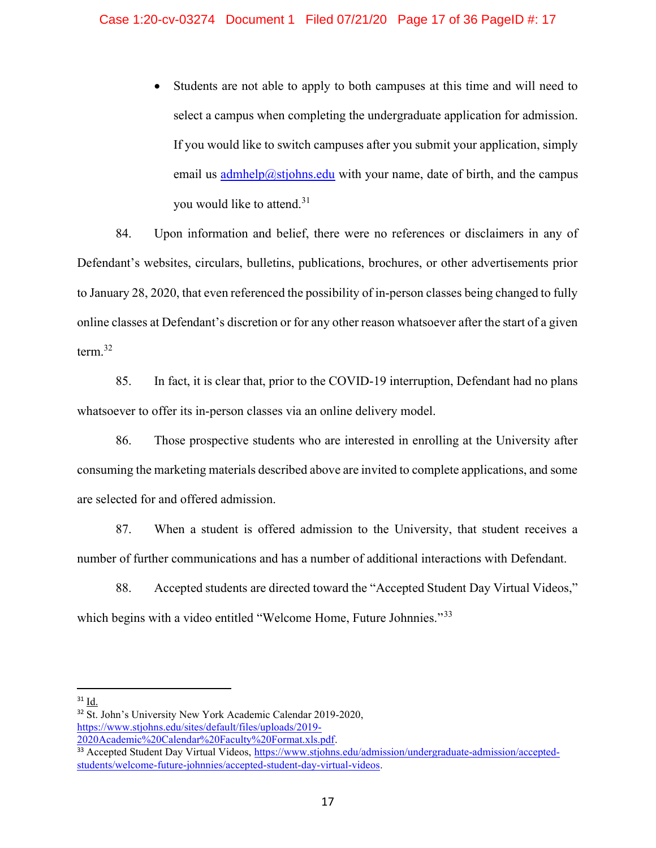Students are not able to apply to both campuses at this time and will need to select a campus when completing the undergraduate application for admission. If you would like to switch campuses after you submit your application, simply email us admhelp@stjohns.edu with your name, date of birth, and the campus you would like to attend.<sup>31</sup>

84. Upon information and belief, there were no references or disclaimers in any of Defendant's websites, circulars, bulletins, publications, brochures, or other advertisements prior to January 28, 2020, that even referenced the possibility of in-person classes being changed to fully online classes at Defendant's discretion or for any other reason whatsoever after the start of a given term.<sup>32</sup>

85. In fact, it is clear that, prior to the COVID-19 interruption, Defendant had no plans whatsoever to offer its in-person classes via an online delivery model.

86. Those prospective students who are interested in enrolling at the University after consuming the marketing materials described above are invited to complete applications, and some are selected for and offered admission.

87. When a student is offered admission to the University, that student receives a number of further communications and has a number of additional interactions with Defendant.

88. Accepted students are directed toward the "Accepted Student Day Virtual Videos," which begins with a video entitled "Welcome Home, Future Johnnies."<sup>33</sup>

 $31 \underline{Id.}$ 

<sup>&</sup>lt;sup>32</sup> St. John's University New York Academic Calendar 2019-2020, https://www.stjohns.edu/sites/default/files/uploads/2019- 2020Academic%20Calendar%20Faculty%20Format.xls.pdf.

<sup>&</sup>lt;sup>33</sup> Accepted Student Day Virtual Videos, https://www.stjohns.edu/admission/undergraduate-admission/acceptedstudents/welcome-future-johnnies/accepted-student-day-virtual-videos.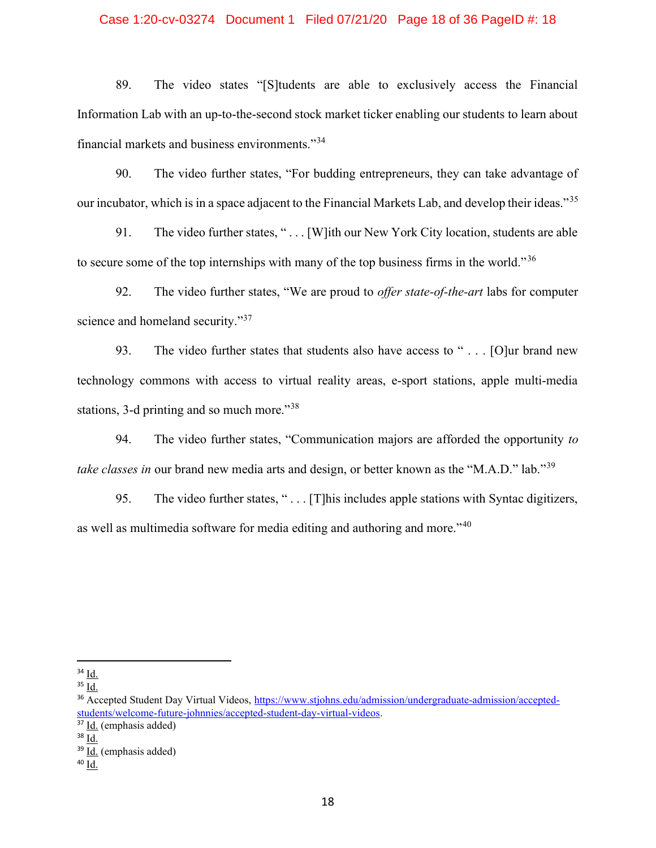## Case 1:20-cv-03274 Document 1 Filed 07/21/20 Page 18 of 36 PageID #: 18

89. The video states "[S]tudents are able to exclusively access the Financial Information Lab with an up-to-the-second stock market ticker enabling our students to learn about financial markets and business environments."<sup>34</sup>

90. The video further states, "For budding entrepreneurs, they can take advantage of our incubator, which is in a space adjacent to the Financial Markets Lab, and develop their ideas."<sup>35</sup>

91. The video further states, " . . . [W]ith our New York City location, students are able to secure some of the top internships with many of the top business firms in the world."<sup>36</sup>

92. The video further states, "We are proud to *offer state-of-the-art* labs for computer science and homeland security."<sup>37</sup>

93. The video further states that students also have access to " . . . [O]ur brand new technology commons with access to virtual reality areas, e-sport stations, apple multi-media stations, 3-d printing and so much more."<sup>38</sup>

94. The video further states, "Communication majors are afforded the opportunity *to take classes in* our brand new media arts and design, or better known as the "M.A.D." lab."<sup>39</sup>

95. The video further states, "... [T] his includes apple stations with Syntac digitizers, as well as multimedia software for media editing and authoring and more."<sup>40</sup>

 $34$   $\underline{\text{Id}}$ .

 $35 \underline{Id.}$ 

<sup>36</sup> Accepted Student Day Virtual Videos, https://www.stjohns.edu/admission/undergraduate-admission/acceptedstudents/welcome-future-johnnies/accepted-student-day-virtual-videos.

<sup>37</sup> Id. (emphasis added)

<sup>38</sup> Id.

<sup>&</sup>lt;sup>39</sup> Id. (emphasis added)

 $40$  Id.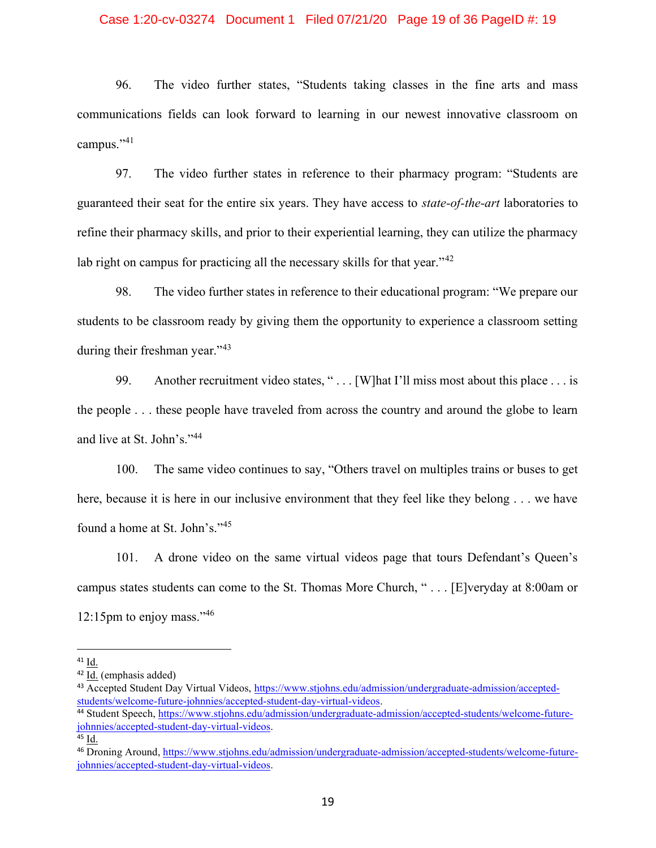### Case 1:20-cv-03274 Document 1 Filed 07/21/20 Page 19 of 36 PageID #: 19

96. The video further states, "Students taking classes in the fine arts and mass communications fields can look forward to learning in our newest innovative classroom on campus."<sup>41</sup>

97. The video further states in reference to their pharmacy program: "Students are guaranteed their seat for the entire six years. They have access to *state-of-the-art* laboratories to refine their pharmacy skills, and prior to their experiential learning, they can utilize the pharmacy lab right on campus for practicing all the necessary skills for that year." $42$ 

98. The video further states in reference to their educational program: "We prepare our students to be classroom ready by giving them the opportunity to experience a classroom setting during their freshman year."<sup>43</sup>

99. Another recruitment video states, "... [W]hat I'll miss most about this place ... is the people . . . these people have traveled from across the country and around the globe to learn and live at St. John's."<sup>44</sup>

100. The same video continues to say, "Others travel on multiples trains or buses to get here, because it is here in our inclusive environment that they feel like they belong . . . we have found a home at St. John's."<sup>45</sup>

101. A drone video on the same virtual videos page that tours Defendant's Queen's campus states students can come to the St. Thomas More Church, " . . . [E]veryday at 8:00am or 12:15pm to enjoy mass."<sup>46</sup>

<sup>41</sup> Id.

<sup>42</sup> Id. (emphasis added)

<sup>43</sup> Accepted Student Day Virtual Videos, https://www.stjohns.edu/admission/undergraduate-admission/acceptedstudents/welcome-future-johnnies/accepted-student-day-virtual-videos.

<sup>44</sup> Student Speech, https://www.stjohns.edu/admission/undergraduate-admission/accepted-students/welcome-futurejohnnies/accepted-student-day-virtual-videos.

<sup>45</sup> Id.

<sup>46</sup> Droning Around, https://www.stjohns.edu/admission/undergraduate-admission/accepted-students/welcome-futurejohnnies/accepted-student-day-virtual-videos.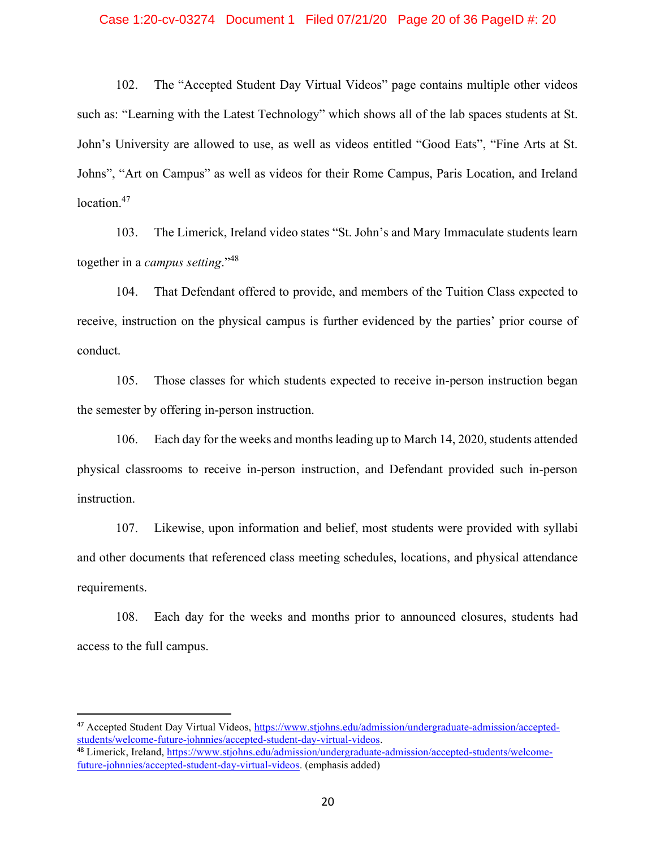### Case 1:20-cv-03274 Document 1 Filed 07/21/20 Page 20 of 36 PageID #: 20

102. The "Accepted Student Day Virtual Videos" page contains multiple other videos such as: "Learning with the Latest Technology" which shows all of the lab spaces students at St. John's University are allowed to use, as well as videos entitled "Good Eats", "Fine Arts at St. Johns", "Art on Campus" as well as videos for their Rome Campus, Paris Location, and Ireland location.<sup>47</sup>

103. The Limerick, Ireland video states "St. John's and Mary Immaculate students learn together in a *campus setting*."48

104. That Defendant offered to provide, and members of the Tuition Class expected to receive, instruction on the physical campus is further evidenced by the parties' prior course of conduct.

105. Those classes for which students expected to receive in-person instruction began the semester by offering in-person instruction.

106. Each day for the weeks and months leading up to March 14, 2020, students attended physical classrooms to receive in-person instruction, and Defendant provided such in-person instruction.

107. Likewise, upon information and belief, most students were provided with syllabi and other documents that referenced class meeting schedules, locations, and physical attendance requirements.

108. Each day for the weeks and months prior to announced closures, students had access to the full campus.

<sup>47</sup> Accepted Student Day Virtual Videos, https://www.stjohns.edu/admission/undergraduate-admission/acceptedstudents/welcome-future-johnnies/accepted-student-day-virtual-videos.

<sup>48</sup> Limerick, Ireland, https://www.stjohns.edu/admission/undergraduate-admission/accepted-students/welcomefuture-johnnies/accepted-student-day-virtual-videos. (emphasis added)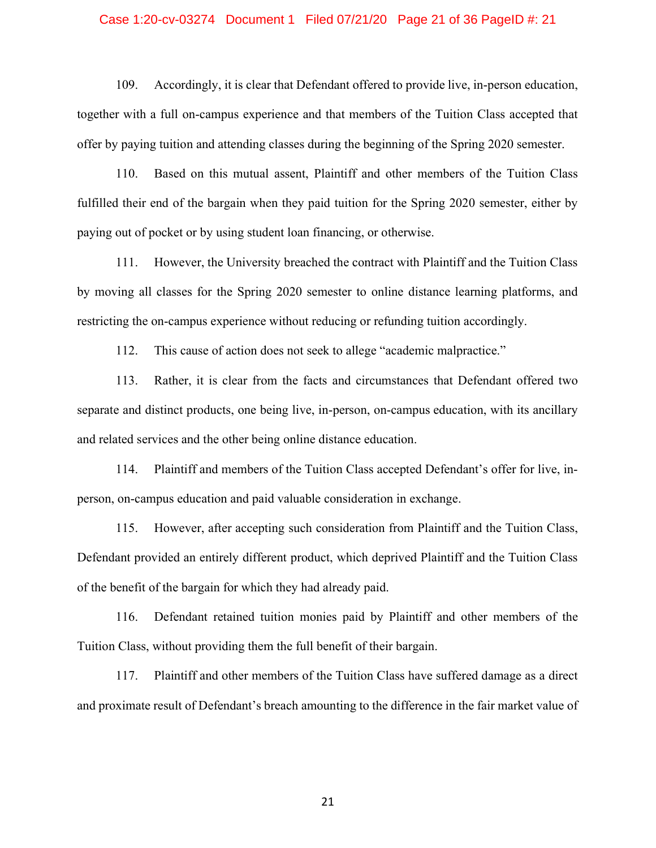### Case 1:20-cv-03274 Document 1 Filed 07/21/20 Page 21 of 36 PageID #: 21

109. Accordingly, it is clear that Defendant offered to provide live, in-person education, together with a full on-campus experience and that members of the Tuition Class accepted that offer by paying tuition and attending classes during the beginning of the Spring 2020 semester.

110. Based on this mutual assent, Plaintiff and other members of the Tuition Class fulfilled their end of the bargain when they paid tuition for the Spring 2020 semester, either by paying out of pocket or by using student loan financing, or otherwise.

111. However, the University breached the contract with Plaintiff and the Tuition Class by moving all classes for the Spring 2020 semester to online distance learning platforms, and restricting the on-campus experience without reducing or refunding tuition accordingly.

112. This cause of action does not seek to allege "academic malpractice."

113. Rather, it is clear from the facts and circumstances that Defendant offered two separate and distinct products, one being live, in-person, on-campus education, with its ancillary and related services and the other being online distance education.

114. Plaintiff and members of the Tuition Class accepted Defendant's offer for live, inperson, on-campus education and paid valuable consideration in exchange.

115. However, after accepting such consideration from Plaintiff and the Tuition Class, Defendant provided an entirely different product, which deprived Plaintiff and the Tuition Class of the benefit of the bargain for which they had already paid.

116. Defendant retained tuition monies paid by Plaintiff and other members of the Tuition Class, without providing them the full benefit of their bargain.

117. Plaintiff and other members of the Tuition Class have suffered damage as a direct and proximate result of Defendant's breach amounting to the difference in the fair market value of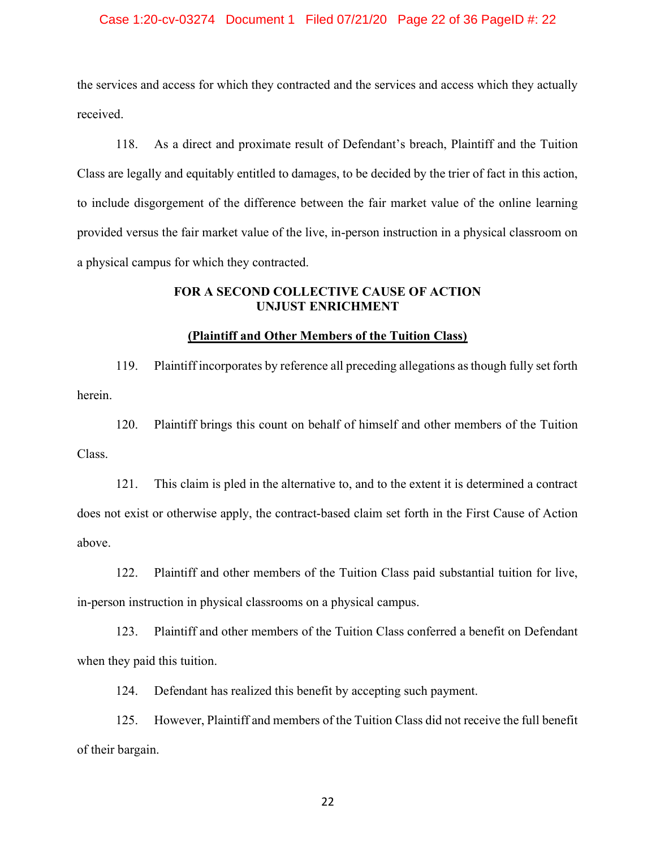### Case 1:20-cv-03274 Document 1 Filed 07/21/20 Page 22 of 36 PageID #: 22

the services and access for which they contracted and the services and access which they actually received.

118. As a direct and proximate result of Defendant's breach, Plaintiff and the Tuition Class are legally and equitably entitled to damages, to be decided by the trier of fact in this action, to include disgorgement of the difference between the fair market value of the online learning provided versus the fair market value of the live, in-person instruction in a physical classroom on a physical campus for which they contracted.

## **FOR A SECOND COLLECTIVE CAUSE OF ACTION UNJUST ENRICHMENT**

## **(Plaintiff and Other Members of the Tuition Class)**

119. Plaintiff incorporates by reference all preceding allegations as though fully set forth herein.

120. Plaintiff brings this count on behalf of himself and other members of the Tuition Class.

121. This claim is pled in the alternative to, and to the extent it is determined a contract does not exist or otherwise apply, the contract-based claim set forth in the First Cause of Action above.

122. Plaintiff and other members of the Tuition Class paid substantial tuition for live, in-person instruction in physical classrooms on a physical campus.

123. Plaintiff and other members of the Tuition Class conferred a benefit on Defendant when they paid this tuition.

124. Defendant has realized this benefit by accepting such payment.

125. However, Plaintiff and members of the Tuition Class did not receive the full benefit of their bargain.

<u>22</u>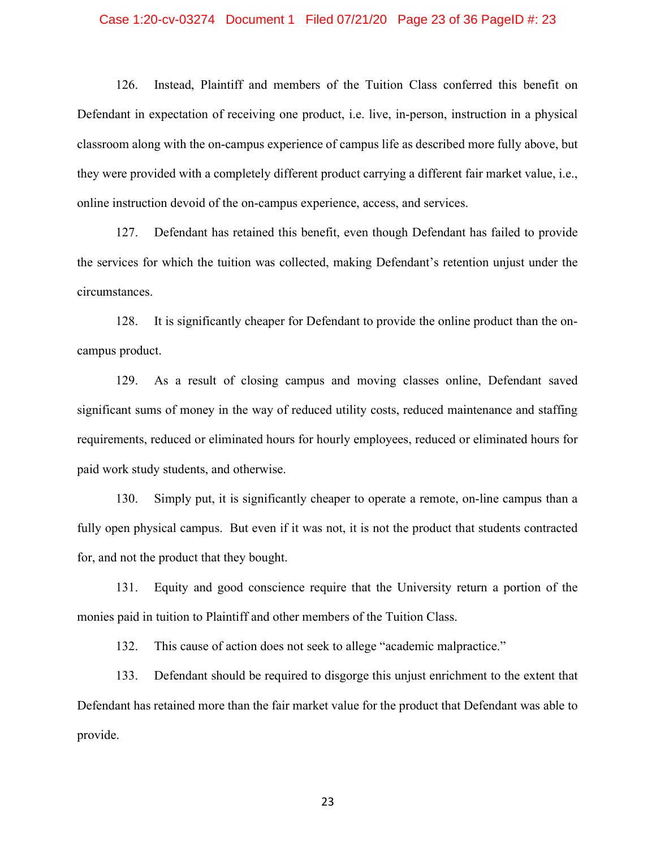### Case 1:20-cv-03274 Document 1 Filed 07/21/20 Page 23 of 36 PageID #: 23

126. Instead, Plaintiff and members of the Tuition Class conferred this benefit on Defendant in expectation of receiving one product, i.e. live, in-person, instruction in a physical classroom along with the on-campus experience of campus life as described more fully above, but they were provided with a completely different product carrying a different fair market value, i.e., online instruction devoid of the on-campus experience, access, and services.

127. Defendant has retained this benefit, even though Defendant has failed to provide the services for which the tuition was collected, making Defendant's retention unjust under the circumstances.

128. It is significantly cheaper for Defendant to provide the online product than the oncampus product.

129. As a result of closing campus and moving classes online, Defendant saved significant sums of money in the way of reduced utility costs, reduced maintenance and staffing requirements, reduced or eliminated hours for hourly employees, reduced or eliminated hours for paid work study students, and otherwise.

130. Simply put, it is significantly cheaper to operate a remote, on-line campus than a fully open physical campus. But even if it was not, it is not the product that students contracted for, and not the product that they bought.

131. Equity and good conscience require that the University return a portion of the monies paid in tuition to Plaintiff and other members of the Tuition Class.

132. This cause of action does not seek to allege "academic malpractice."

133. Defendant should be required to disgorge this unjust enrichment to the extent that Defendant has retained more than the fair market value for the product that Defendant was able to provide.

<u>23</u>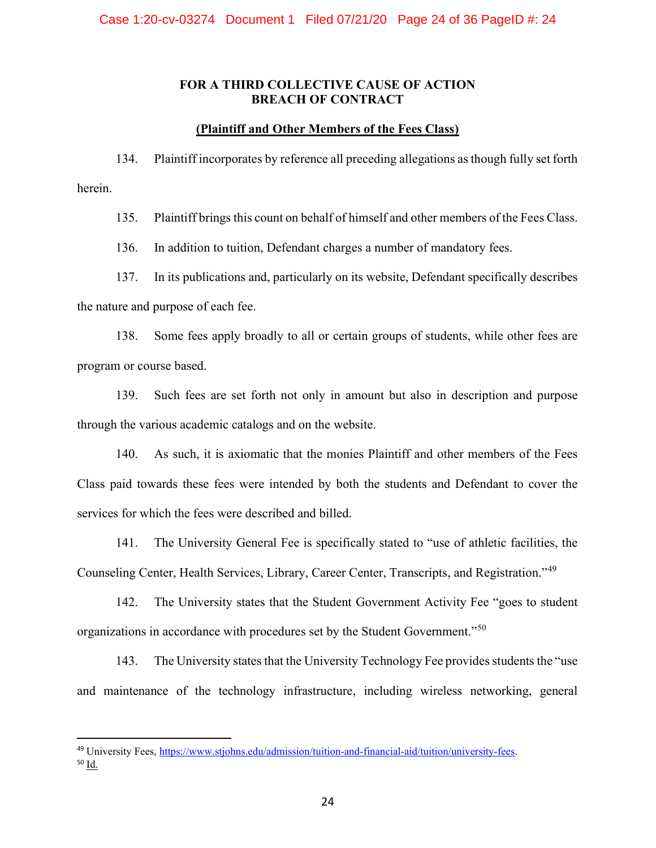## **FOR A THIRD COLLECTIVE CAUSE OF ACTION BREACH OF CONTRACT**

## **(Plaintiff and Other Members of the Fees Class)**

134. Plaintiff incorporates by reference all preceding allegations as though fully set forth herein.

135. Plaintiff brings this count on behalf of himself and other members of the Fees Class.

136. In addition to tuition, Defendant charges a number of mandatory fees.

137. In its publications and, particularly on its website, Defendant specifically describes the nature and purpose of each fee.

138. Some fees apply broadly to all or certain groups of students, while other fees are program or course based.

139. Such fees are set forth not only in amount but also in description and purpose through the various academic catalogs and on the website.

140. As such, it is axiomatic that the monies Plaintiff and other members of the Fees Class paid towards these fees were intended by both the students and Defendant to cover the services for which the fees were described and billed.

141. The University General Fee is specifically stated to "use of athletic facilities, the Counseling Center, Health Services, Library, Career Center, Transcripts, and Registration."<sup>49</sup>

142. The University states that the Student Government Activity Fee "goes to student organizations in accordance with procedures set by the Student Government."<sup>50</sup>

143. The University states that the University Technology Fee provides students the "use and maintenance of the technology infrastructure, including wireless networking, general

<sup>49</sup> University Fees, https://www.stjohns.edu/admission/tuition-and-financial-aid/tuition/university-fees. <sup>50</sup> Id.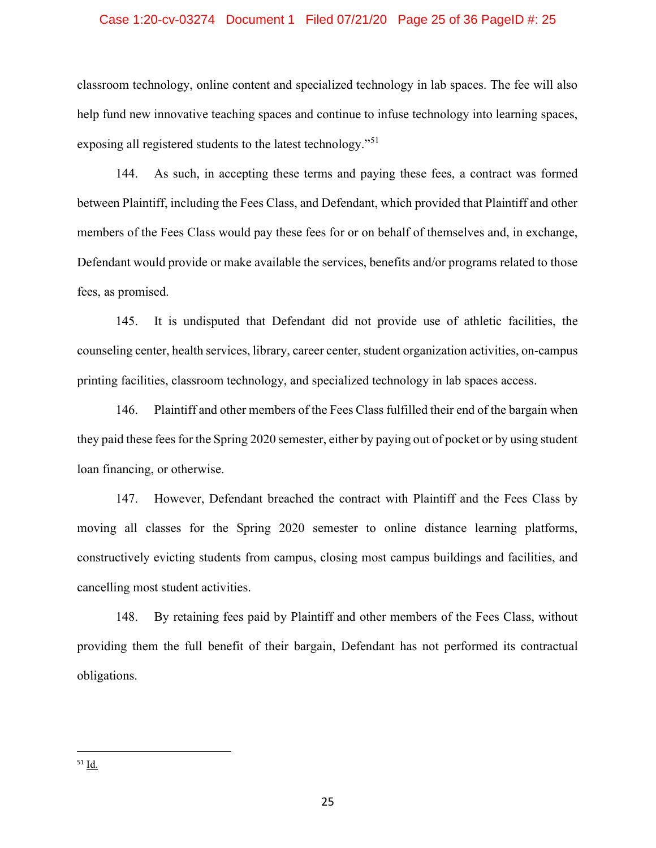### Case 1:20-cv-03274 Document 1 Filed 07/21/20 Page 25 of 36 PageID #: 25

classroom technology, online content and specialized technology in lab spaces. The fee will also help fund new innovative teaching spaces and continue to infuse technology into learning spaces, exposing all registered students to the latest technology."<sup>51</sup>

144. As such, in accepting these terms and paying these fees, a contract was formed between Plaintiff, including the Fees Class, and Defendant, which provided that Plaintiff and other members of the Fees Class would pay these fees for or on behalf of themselves and, in exchange, Defendant would provide or make available the services, benefits and/or programs related to those fees, as promised.

145. It is undisputed that Defendant did not provide use of athletic facilities, the counseling center, health services, library, career center, student organization activities, on-campus printing facilities, classroom technology, and specialized technology in lab spaces access.

146. Plaintiff and other members of the Fees Class fulfilled their end of the bargain when they paid these fees for the Spring 2020 semester, either by paying out of pocket or by using student loan financing, or otherwise.

147. However, Defendant breached the contract with Plaintiff and the Fees Class by moving all classes for the Spring 2020 semester to online distance learning platforms, constructively evicting students from campus, closing most campus buildings and facilities, and cancelling most student activities.

148. By retaining fees paid by Plaintiff and other members of the Fees Class, without providing them the full benefit of their bargain, Defendant has not performed its contractual obligations.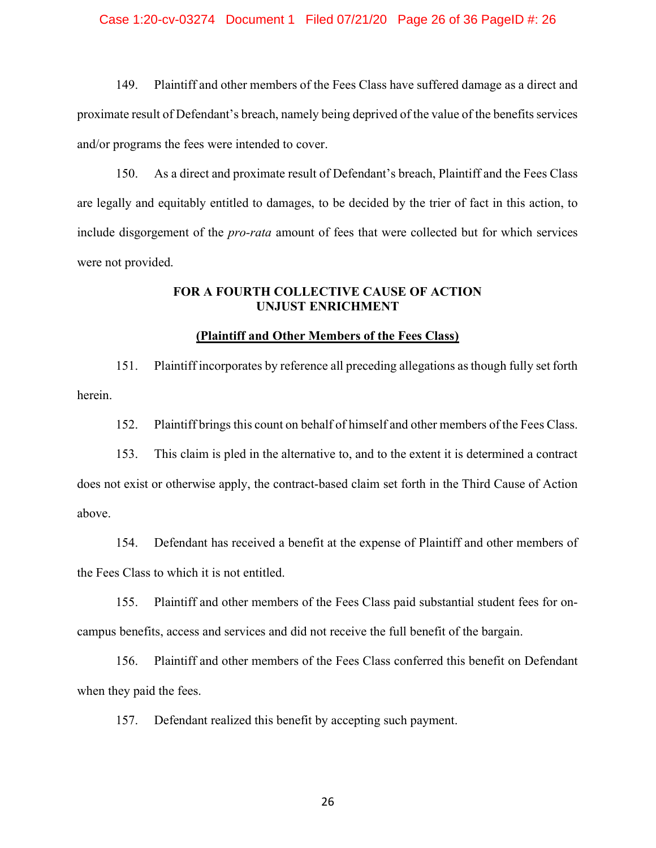### Case 1:20-cv-03274 Document 1 Filed 07/21/20 Page 26 of 36 PageID #: 26

149. Plaintiff and other members of the Fees Class have suffered damage as a direct and proximate result of Defendant's breach, namely being deprived of the value of the benefits services and/or programs the fees were intended to cover.

150. As a direct and proximate result of Defendant's breach, Plaintiff and the Fees Class are legally and equitably entitled to damages, to be decided by the trier of fact in this action, to include disgorgement of the *pro-rata* amount of fees that were collected but for which services were not provided.

## **FOR A FOURTH COLLECTIVE CAUSE OF ACTION UNJUST ENRICHMENT**

## **(Plaintiff and Other Members of the Fees Class)**

151. Plaintiff incorporates by reference all preceding allegations as though fully set forth herein.

152. Plaintiff brings this count on behalf of himself and other members of the Fees Class.

153. This claim is pled in the alternative to, and to the extent it is determined a contract does not exist or otherwise apply, the contract-based claim set forth in the Third Cause of Action above.

154. Defendant has received a benefit at the expense of Plaintiff and other members of the Fees Class to which it is not entitled.

155. Plaintiff and other members of the Fees Class paid substantial student fees for oncampus benefits, access and services and did not receive the full benefit of the bargain.

156. Plaintiff and other members of the Fees Class conferred this benefit on Defendant when they paid the fees.

157. Defendant realized this benefit by accepting such payment.

<u>26</u>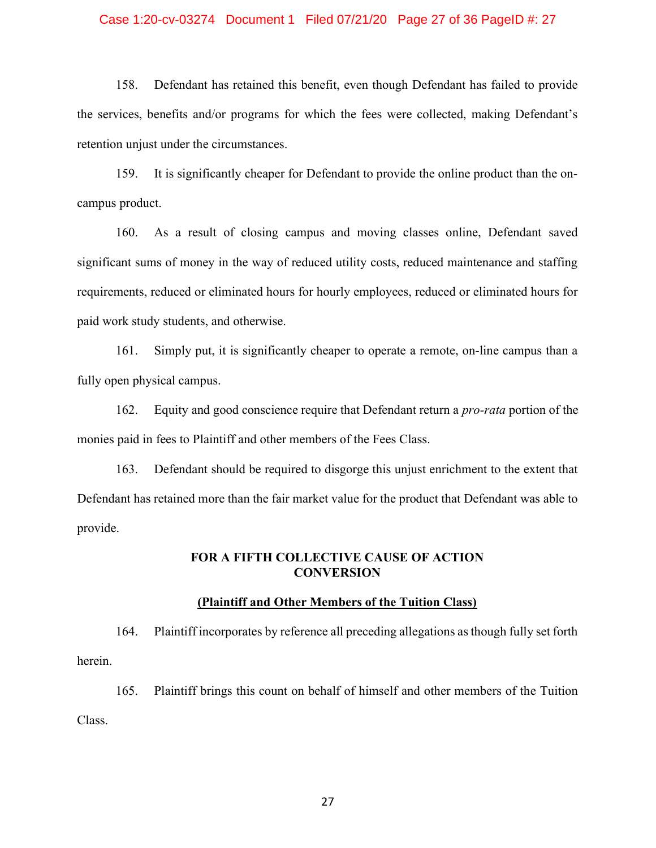### Case 1:20-cv-03274 Document 1 Filed 07/21/20 Page 27 of 36 PageID #: 27

158. Defendant has retained this benefit, even though Defendant has failed to provide the services, benefits and/or programs for which the fees were collected, making Defendant's retention unjust under the circumstances.

159. It is significantly cheaper for Defendant to provide the online product than the oncampus product.

160. As a result of closing campus and moving classes online, Defendant saved significant sums of money in the way of reduced utility costs, reduced maintenance and staffing requirements, reduced or eliminated hours for hourly employees, reduced or eliminated hours for paid work study students, and otherwise.

161. Simply put, it is significantly cheaper to operate a remote, on-line campus than a fully open physical campus.

162. Equity and good conscience require that Defendant return a *pro-rata* portion of the monies paid in fees to Plaintiff and other members of the Fees Class.

163. Defendant should be required to disgorge this unjust enrichment to the extent that Defendant has retained more than the fair market value for the product that Defendant was able to provide.

## **FOR A FIFTH COLLECTIVE CAUSE OF ACTION CONVERSION**

### **(Plaintiff and Other Members of the Tuition Class)**

164. Plaintiff incorporates by reference all preceding allegations as though fully set forth herein.

165. Plaintiff brings this count on behalf of himself and other members of the Tuition Class.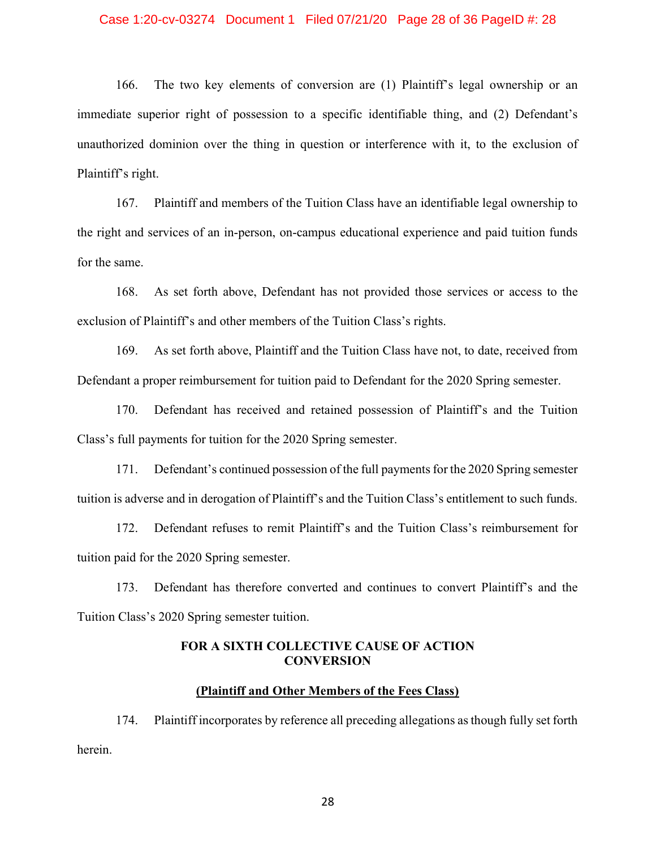### Case 1:20-cv-03274 Document 1 Filed 07/21/20 Page 28 of 36 PageID #: 28

166. The two key elements of conversion are (1) Plaintiff's legal ownership or an immediate superior right of possession to a specific identifiable thing, and (2) Defendant's unauthorized dominion over the thing in question or interference with it, to the exclusion of Plaintiff's right.

167. Plaintiff and members of the Tuition Class have an identifiable legal ownership to the right and services of an in-person, on-campus educational experience and paid tuition funds for the same.

168. As set forth above, Defendant has not provided those services or access to the exclusion of Plaintiff's and other members of the Tuition Class's rights.

169. As set forth above, Plaintiff and the Tuition Class have not, to date, received from Defendant a proper reimbursement for tuition paid to Defendant for the 2020 Spring semester.

170. Defendant has received and retained possession of Plaintiff's and the Tuition Class's full payments for tuition for the 2020 Spring semester.

171. Defendant's continued possession of the full payments for the 2020 Spring semester tuition is adverse and in derogation of Plaintiff's and the Tuition Class's entitlement to such funds.

172. Defendant refuses to remit Plaintiff's and the Tuition Class's reimbursement for tuition paid for the 2020 Spring semester.

173. Defendant has therefore converted and continues to convert Plaintiff's and the Tuition Class's 2020 Spring semester tuition.

## **FOR A SIXTH COLLECTIVE CAUSE OF ACTION CONVERSION**

### **(Plaintiff and Other Members of the Fees Class)**

174. Plaintiff incorporates by reference all preceding allegations as though fully set forth herein.

<u>28 and 28</u>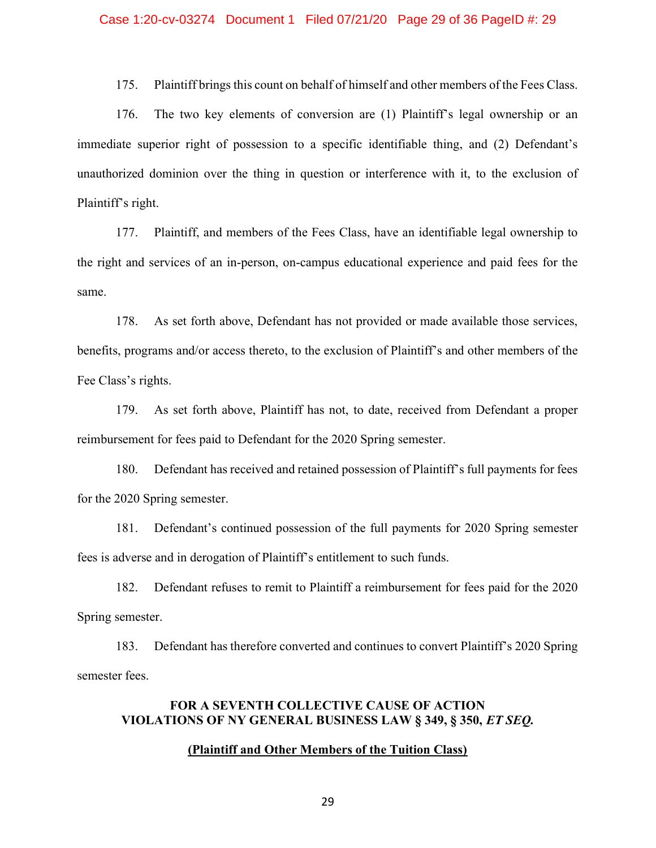175. Plaintiff brings this count on behalf of himself and other members of the Fees Class.

176. The two key elements of conversion are (1) Plaintiff's legal ownership or an immediate superior right of possession to a specific identifiable thing, and (2) Defendant's unauthorized dominion over the thing in question or interference with it, to the exclusion of Plaintiff's right.

177. Plaintiff, and members of the Fees Class, have an identifiable legal ownership to the right and services of an in-person, on-campus educational experience and paid fees for the same.

178. As set forth above, Defendant has not provided or made available those services, benefits, programs and/or access thereto, to the exclusion of Plaintiff's and other members of the Fee Class's rights.

179. As set forth above, Plaintiff has not, to date, received from Defendant a proper reimbursement for fees paid to Defendant for the 2020 Spring semester.

180. Defendant has received and retained possession of Plaintiff's full payments for fees for the 2020 Spring semester.

181. Defendant's continued possession of the full payments for 2020 Spring semester fees is adverse and in derogation of Plaintiff's entitlement to such funds.

182. Defendant refuses to remit to Plaintiff a reimbursement for fees paid for the 2020 Spring semester.

183. Defendant has therefore converted and continues to convert Plaintiff's 2020 Spring semester fees.

# **FOR A SEVENTH COLLECTIVE CAUSE OF ACTION VIOLATIONS OF NY GENERAL BUSINESS LAW § 349, § 350,** *ET SEQ.*

### **(Plaintiff and Other Members of the Tuition Class)**

<u>29 and 29</u>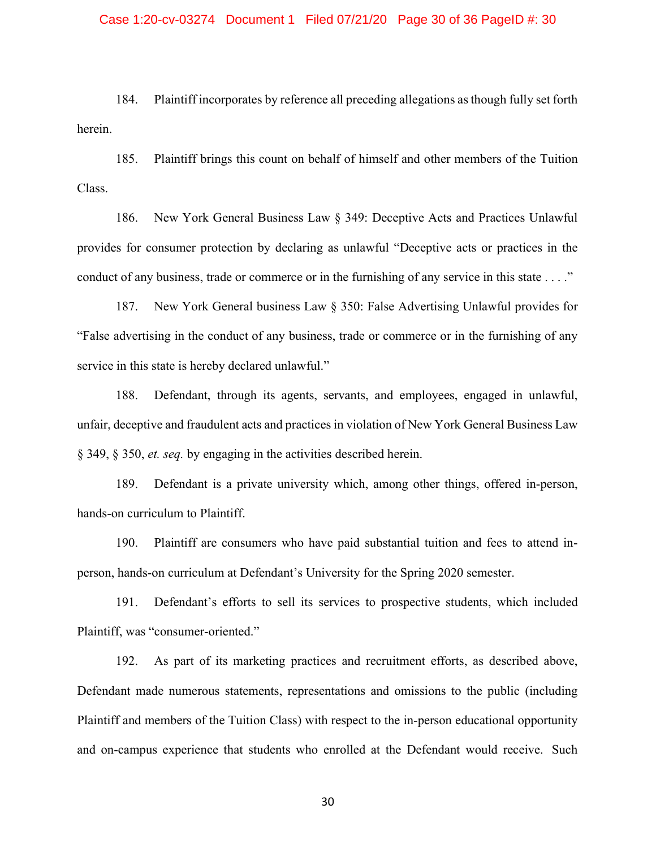### Case 1:20-cv-03274 Document 1 Filed 07/21/20 Page 30 of 36 PageID #: 30

184. Plaintiff incorporates by reference all preceding allegations as though fully set forth herein.

185. Plaintiff brings this count on behalf of himself and other members of the Tuition Class.

186. New York General Business Law § 349: Deceptive Acts and Practices Unlawful provides for consumer protection by declaring as unlawful "Deceptive acts or practices in the conduct of any business, trade or commerce or in the furnishing of any service in this state . . . ."

187. New York General business Law § 350: False Advertising Unlawful provides for "False advertising in the conduct of any business, trade or commerce or in the furnishing of any service in this state is hereby declared unlawful."

188. Defendant, through its agents, servants, and employees, engaged in unlawful, unfair, deceptive and fraudulent acts and practices in violation of New York General Business Law § 349, § 350, *et. seq.* by engaging in the activities described herein.

189. Defendant is a private university which, among other things, offered in-person, hands-on curriculum to Plaintiff.

190. Plaintiff are consumers who have paid substantial tuition and fees to attend inperson, hands-on curriculum at Defendant's University for the Spring 2020 semester.

191. Defendant's efforts to sell its services to prospective students, which included Plaintiff, was "consumer-oriented."

192. As part of its marketing practices and recruitment efforts, as described above, Defendant made numerous statements, representations and omissions to the public (including Plaintiff and members of the Tuition Class) with respect to the in-person educational opportunity and on-campus experience that students who enrolled at the Defendant would receive. Such

 $30<sup>2</sup>$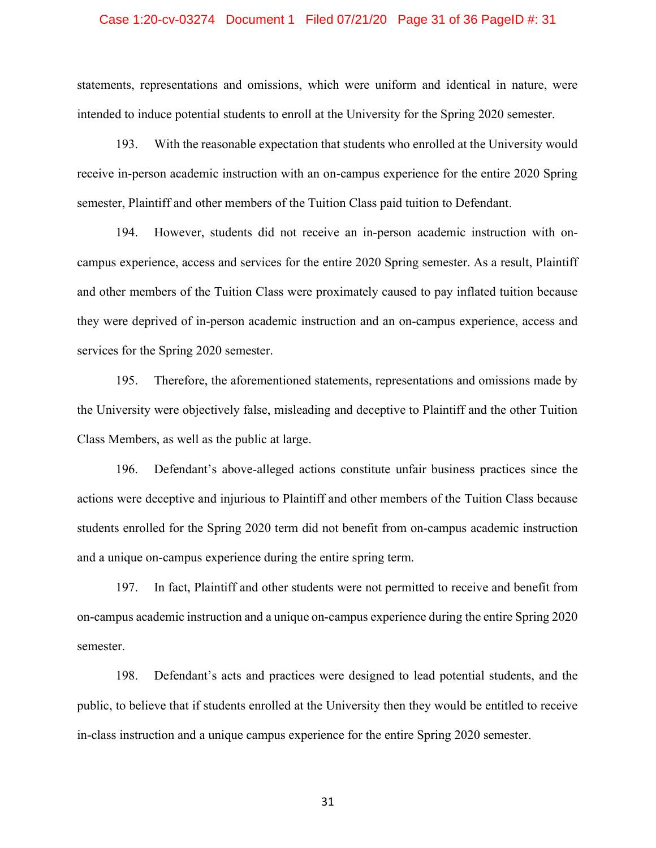### Case 1:20-cv-03274 Document 1 Filed 07/21/20 Page 31 of 36 PageID #: 31

statements, representations and omissions, which were uniform and identical in nature, were intended to induce potential students to enroll at the University for the Spring 2020 semester.

193. With the reasonable expectation that students who enrolled at the University would receive in-person academic instruction with an on-campus experience for the entire 2020 Spring semester, Plaintiff and other members of the Tuition Class paid tuition to Defendant.

194. However, students did not receive an in-person academic instruction with oncampus experience, access and services for the entire 2020 Spring semester. As a result, Plaintiff and other members of the Tuition Class were proximately caused to pay inflated tuition because they were deprived of in-person academic instruction and an on-campus experience, access and services for the Spring 2020 semester.

195. Therefore, the aforementioned statements, representations and omissions made by the University were objectively false, misleading and deceptive to Plaintiff and the other Tuition Class Members, as well as the public at large.

196. Defendant's above-alleged actions constitute unfair business practices since the actions were deceptive and injurious to Plaintiff and other members of the Tuition Class because students enrolled for the Spring 2020 term did not benefit from on-campus academic instruction and a unique on-campus experience during the entire spring term.

197. In fact, Plaintiff and other students were not permitted to receive and benefit from on-campus academic instruction and a unique on-campus experience during the entire Spring 2020 semester.

198. Defendant's acts and practices were designed to lead potential students, and the public, to believe that if students enrolled at the University then they would be entitled to receive in-class instruction and a unique campus experience for the entire Spring 2020 semester.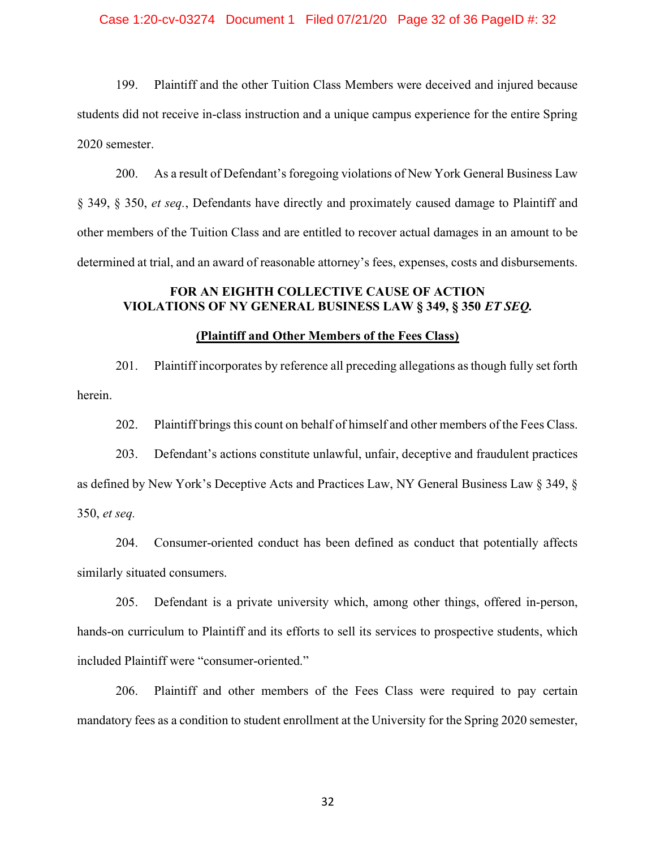### Case 1:20-cv-03274 Document 1 Filed 07/21/20 Page 32 of 36 PageID #: 32

199. Plaintiff and the other Tuition Class Members were deceived and injured because students did not receive in-class instruction and a unique campus experience for the entire Spring 2020 semester.

200. As a result of Defendant's foregoing violations of New York General Business Law § 349, § 350, *et seq.*, Defendants have directly and proximately caused damage to Plaintiff and other members of the Tuition Class and are entitled to recover actual damages in an amount to be determined at trial, and an award of reasonable attorney's fees, expenses, costs and disbursements.

# **FOR AN EIGHTH COLLECTIVE CAUSE OF ACTION VIOLATIONS OF NY GENERAL BUSINESS LAW § 349, § 350** *ET SEQ.*

## **(Plaintiff and Other Members of the Fees Class)**

201. Plaintiff incorporates by reference all preceding allegations as though fully set forth herein.

202. Plaintiff brings this count on behalf of himself and other members of the Fees Class.

203. Defendant's actions constitute unlawful, unfair, deceptive and fraudulent practices as defined by New York's Deceptive Acts and Practices Law, NY General Business Law § 349, § 350, *et seq.* 

204. Consumer-oriented conduct has been defined as conduct that potentially affects similarly situated consumers.

205. Defendant is a private university which, among other things, offered in-person, hands-on curriculum to Plaintiff and its efforts to sell its services to prospective students, which included Plaintiff were "consumer-oriented."

206. Plaintiff and other members of the Fees Class were required to pay certain mandatory fees as a condition to student enrollment at the University for the Spring 2020 semester,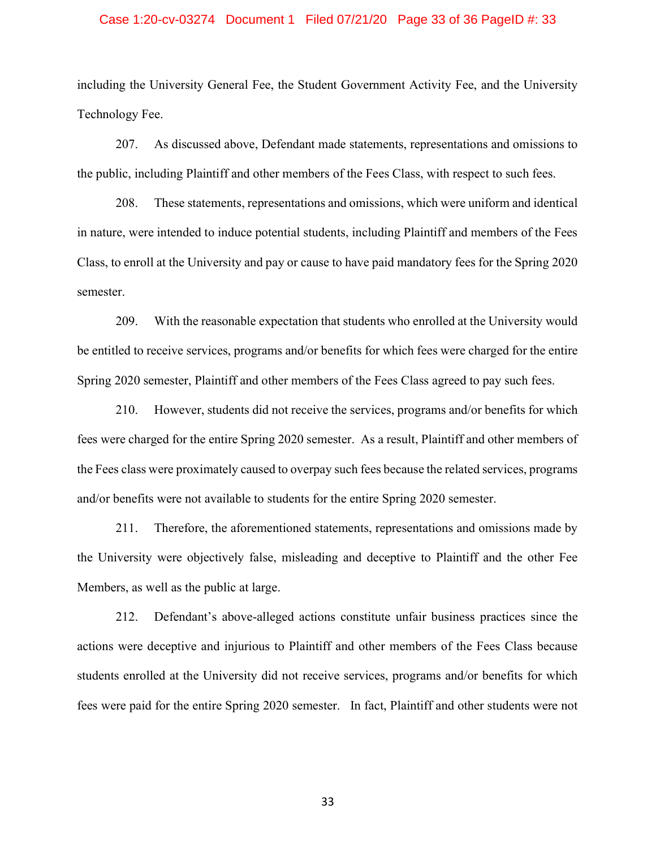### Case 1:20-cv-03274 Document 1 Filed 07/21/20 Page 33 of 36 PageID #: 33

including the University General Fee, the Student Government Activity Fee, and the University Technology Fee.

207. As discussed above, Defendant made statements, representations and omissions to the public, including Plaintiff and other members of the Fees Class, with respect to such fees.

208. These statements, representations and omissions, which were uniform and identical in nature, were intended to induce potential students, including Plaintiff and members of the Fees Class, to enroll at the University and pay or cause to have paid mandatory fees for the Spring 2020 semester.

209. With the reasonable expectation that students who enrolled at the University would be entitled to receive services, programs and/or benefits for which fees were charged for the entire Spring 2020 semester, Plaintiff and other members of the Fees Class agreed to pay such fees.

210. However, students did not receive the services, programs and/or benefits for which fees were charged for the entire Spring 2020 semester. As a result, Plaintiff and other members of the Fees class were proximately caused to overpay such fees because the related services, programs and/or benefits were not available to students for the entire Spring 2020 semester.

211. Therefore, the aforementioned statements, representations and omissions made by the University were objectively false, misleading and deceptive to Plaintiff and the other Fee Members, as well as the public at large.

212. Defendant's above-alleged actions constitute unfair business practices since the actions were deceptive and injurious to Plaintiff and other members of the Fees Class because students enrolled at the University did not receive services, programs and/or benefits for which fees were paid for the entire Spring 2020 semester. In fact, Plaintiff and other students were not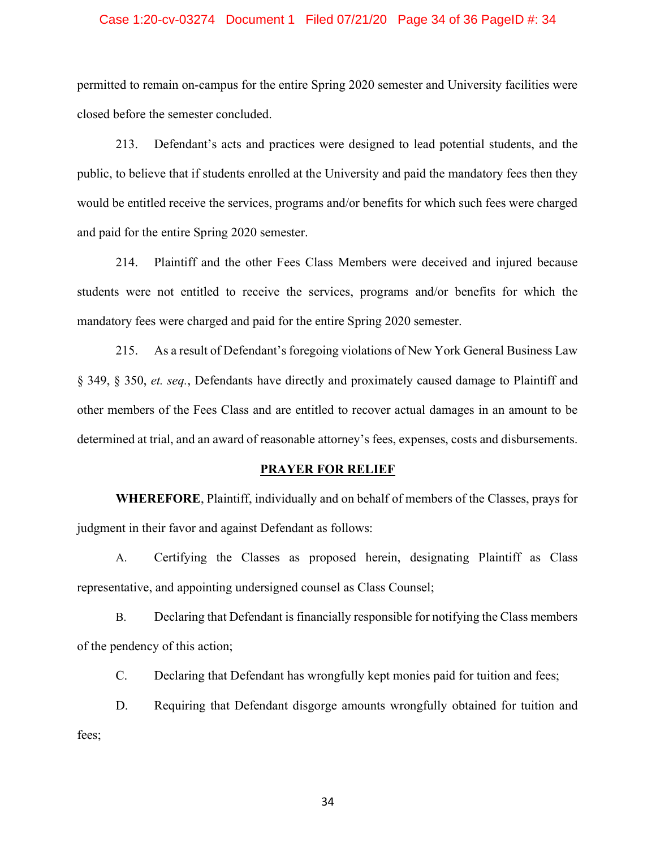### Case 1:20-cv-03274 Document 1 Filed 07/21/20 Page 34 of 36 PageID #: 34

permitted to remain on-campus for the entire Spring 2020 semester and University facilities were closed before the semester concluded.

213. Defendant's acts and practices were designed to lead potential students, and the public, to believe that if students enrolled at the University and paid the mandatory fees then they would be entitled receive the services, programs and/or benefits for which such fees were charged and paid for the entire Spring 2020 semester.

214. Plaintiff and the other Fees Class Members were deceived and injured because students were not entitled to receive the services, programs and/or benefits for which the mandatory fees were charged and paid for the entire Spring 2020 semester.

215. As a result of Defendant's foregoing violations of New York General Business Law § 349, § 350, *et. seq.*, Defendants have directly and proximately caused damage to Plaintiff and other members of the Fees Class and are entitled to recover actual damages in an amount to be determined at trial, and an award of reasonable attorney's fees, expenses, costs and disbursements.

#### **PRAYER FOR RELIEF**

**WHEREFORE**, Plaintiff, individually and on behalf of members of the Classes, prays for judgment in their favor and against Defendant as follows:

A. Certifying the Classes as proposed herein, designating Plaintiff as Class representative, and appointing undersigned counsel as Class Counsel;

B. Declaring that Defendant is financially responsible for notifying the Class members of the pendency of this action;

C. Declaring that Defendant has wrongfully kept monies paid for tuition and fees;

D. Requiring that Defendant disgorge amounts wrongfully obtained for tuition and fees;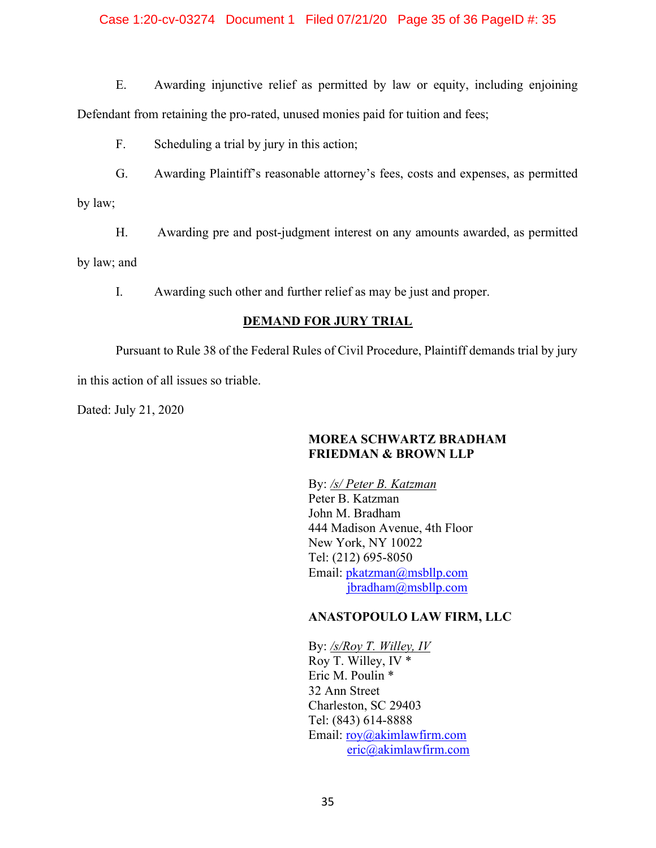## Case 1:20-cv-03274 Document 1 Filed 07/21/20 Page 35 of 36 PageID #: 35

E. Awarding injunctive relief as permitted by law or equity, including enjoining Defendant from retaining the pro-rated, unused monies paid for tuition and fees;

F. Scheduling a trial by jury in this action;

G. Awarding Plaintiff's reasonable attorney's fees, costs and expenses, as permitted

by law;

H. Awarding pre and post-judgment interest on any amounts awarded, as permitted

by law; and

I. Awarding such other and further relief as may be just and proper.

## **DEMAND FOR JURY TRIAL**

 Pursuant to Rule 38 of the Federal Rules of Civil Procedure, Plaintiff demands trial by jury in this action of all issues so triable.

Dated: July 21, 2020

## **MOREA SCHWARTZ BRADHAM FRIEDMAN & BROWN LLP**

By: */s/ Peter B. Katzman*  Peter B. Katzman John M. Bradham 444 Madison Avenue, 4th Floor New York, NY 10022 Tel: (212) 695-8050 Email: pkatzman@msbllp.com jbradham@msbllp.com

## **ANASTOPOULO LAW FIRM, LLC**

By: */s/Roy T. Willey, IV*  Roy T. Willey, IV \* Eric M. Poulin \* 32 Ann Street Charleston, SC 29403 Tel: (843) 614-8888 Email: roy@akimlawfirm.com eric@akimlawfirm.com